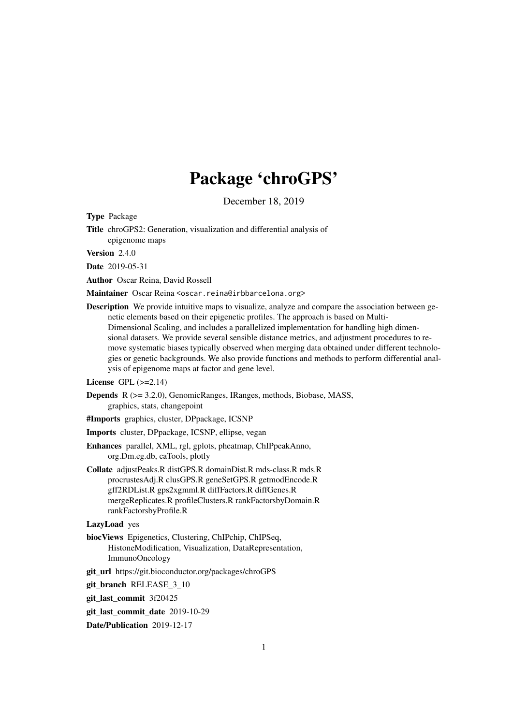# Package 'chroGPS'

December 18, 2019

<span id="page-0-0"></span>Type Package

Title chroGPS2: Generation, visualization and differential analysis of epigenome maps

Version 2.4.0

Date 2019-05-31

Author Oscar Reina, David Rossell

Maintainer Oscar Reina <oscar.reina@irbbarcelona.org>

- Description We provide intuitive maps to visualize, analyze and compare the association between genetic elements based on their epigenetic profiles. The approach is based on Multi-Dimensional Scaling, and includes a parallelized implementation for handling high dimensional datasets. We provide several sensible distance metrics, and adjustment procedures to remove systematic biases typically observed when merging data obtained under different technologies or genetic backgrounds. We also provide functions and methods to perform differential analysis of epigenome maps at factor and gene level.
- License GPL  $(>=2.14)$
- Depends R (>= 3.2.0), GenomicRanges, IRanges, methods, Biobase, MASS, graphics, stats, changepoint
- #Imports graphics, cluster, DPpackage, ICSNP
- Imports cluster, DPpackage, ICSNP, ellipse, vegan
- Enhances parallel, XML, rgl, gplots, pheatmap, ChIPpeakAnno, org.Dm.eg.db, caTools, plotly
- Collate adjustPeaks.R distGPS.R domainDist.R mds-class.R mds.R procrustesAdj.R clusGPS.R geneSetGPS.R getmodEncode.R gff2RDList.R gps2xgmml.R diffFactors.R diffGenes.R mergeReplicates.R profileClusters.R rankFactorsbyDomain.R rankFactorsbyProfile.R

# LazyLoad yes

- biocViews Epigenetics, Clustering, ChIPchip, ChIPSeq, HistoneModification, Visualization, DataRepresentation, ImmunoOncology
- git\_url https://git.bioconductor.org/packages/chroGPS
- git branch RELEASE 3 10

git\_last\_commit 3f20425

git\_last\_commit\_date 2019-10-29

Date/Publication 2019-12-17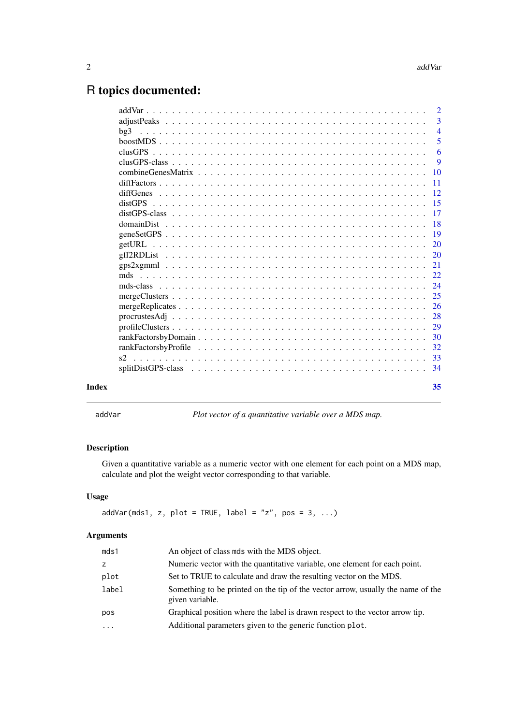# <span id="page-1-0"></span>R topics documented:

| <b>Index</b> | 35                   |
|--------------|----------------------|
|              |                      |
|              |                      |
|              |                      |
|              |                      |
|              |                      |
|              |                      |
|              |                      |
|              |                      |
|              |                      |
|              |                      |
|              |                      |
|              |                      |
|              |                      |
|              |                      |
|              |                      |
|              |                      |
|              |                      |
|              |                      |
|              | $\overline{11}$      |
|              | 9<br>$\overline{10}$ |
|              | 6                    |
|              | 5                    |
|              | $\overline{4}$       |
|              | $\overline{3}$       |
|              |                      |
|              |                      |

addVar *Plot vector of a quantitative variable over a MDS map.*

# Description

Given a quantitative variable as a numeric vector with one element for each point on a MDS map, calculate and plot the weight vector corresponding to that variable.

# Usage

```
addVar(mds1, z, plot = TRUE, label = "z", pos = 3, ...)
```
# Arguments

| mds1      | An object of class mds with the MDS object.                                                        |
|-----------|----------------------------------------------------------------------------------------------------|
| z         | Numeric vector with the quantitative variable, one element for each point.                         |
| plot      | Set to TRUE to calculate and draw the resulting vector on the MDS.                                 |
| label     | Something to be printed on the tip of the vector arrow, usually the name of the<br>given variable. |
| pos       | Graphical position where the label is drawn respect to the vector arrow tip.                       |
| $\ddotsc$ | Additional parameters given to the generic function plot.                                          |
|           |                                                                                                    |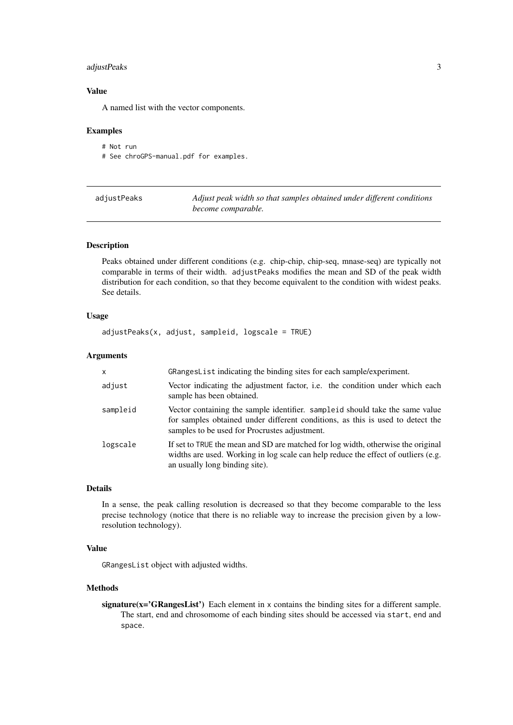#### <span id="page-2-0"></span>adjustPeaks 3

# Value

A named list with the vector components.

# Examples

# Not run # See chroGPS-manual.pdf for examples.

| adjustPeaks | Adjust peak width so that samples obtained under different conditions |
|-------------|-----------------------------------------------------------------------|
|             | become comparable.                                                    |

# Description

Peaks obtained under different conditions (e.g. chip-chip, chip-seq, mnase-seq) are typically not comparable in terms of their width. adjustPeaks modifies the mean and SD of the peak width distribution for each condition, so that they become equivalent to the condition with widest peaks. See details.

# Usage

adjustPeaks(x, adjust, sampleid, logscale = TRUE)

# Arguments

| $\mathsf{x}$ | GRangesList indicating the binding sites for each sample/experiment.                                                                                                                                            |
|--------------|-----------------------------------------------------------------------------------------------------------------------------------------------------------------------------------------------------------------|
| adjust       | Vector indicating the adjustment factor, <i>i.e.</i> the condition under which each<br>sample has been obtained.                                                                                                |
| sampleid     | Vector containing the sample identifier. sampleid should take the same value<br>for samples obtained under different conditions, as this is used to detect the<br>samples to be used for Procrustes adjustment. |
| logscale     | If set to TRUE the mean and SD are matched for log width, otherwise the original<br>widths are used. Working in log scale can help reduce the effect of outliers (e.g.<br>an usually long binding site).        |

# Details

In a sense, the peak calling resolution is decreased so that they become comparable to the less precise technology (notice that there is no reliable way to increase the precision given by a lowresolution technology).

#### Value

GRangesList object with adjusted widths.

# Methods

signature(x='GRangesList') Each element in x contains the binding sites for a different sample. The start, end and chrosomome of each binding sites should be accessed via start, end and space.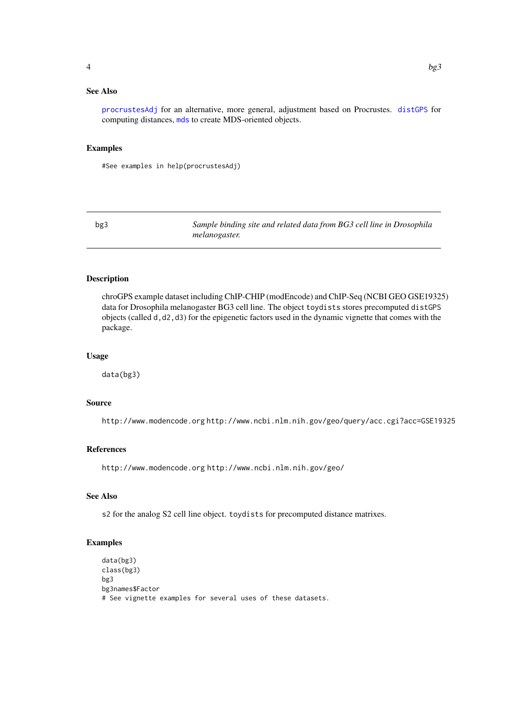# <span id="page-3-0"></span>See Also

[procrustesAdj](#page-27-1) for an alternative, more general, adjustment based on Procrustes. [distGPS](#page-14-1) for computing distances, [mds](#page-21-1) to create MDS-oriented objects.

#### Examples

#See examples in help(procrustesAdj)

bg3 *Sample binding site and related data from BG3 cell line in Drosophila melanogaster.*

# Description

chroGPS example dataset including ChIP-CHIP (modEncode) and ChIP-Seq (NCBI GEO GSE19325) data for Drosophila melanogaster BG3 cell line. The object toydists stores precomputed distGPS objects (called d,d2,d3) for the epigenetic factors used in the dynamic vignette that comes with the package.

# Usage

data(bg3)

#### Source

http://www.modencode.org http://www.ncbi.nlm.nih.gov/geo/query/acc.cgi?acc=GSE19325

# References

http://www.modencode.org http://www.ncbi.nlm.nih.gov/geo/

# See Also

s2 for the analog S2 cell line object. toydists for precomputed distance matrixes.

```
data(bg3)
class(bg3)
bg3
bg3names$Factor
# See vignette examples for several uses of these datasets.
```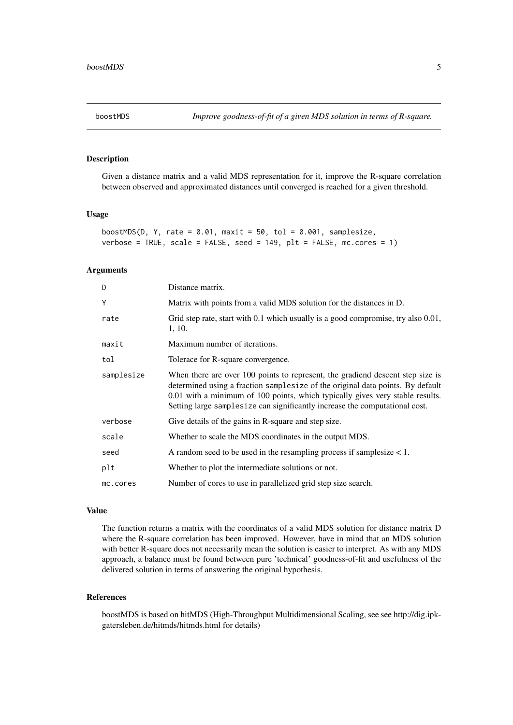<span id="page-4-0"></span>

Given a distance matrix and a valid MDS representation for it, improve the R-square correlation between observed and approximated distances until converged is reached for a given threshold.

# Usage

```
boostMDS(D, Y, rate = 0.01, maxit = 50, tol = 0.001, samplesize,
verbose = TRUE, scale = FALSE, seed = 149, plt = FALSE, mc.cores = 1)
```
# Arguments

| D          | Distance matrix.                                                                                                                                                                                                                                                                                                                 |
|------------|----------------------------------------------------------------------------------------------------------------------------------------------------------------------------------------------------------------------------------------------------------------------------------------------------------------------------------|
| Y          | Matrix with points from a valid MDS solution for the distances in D.                                                                                                                                                                                                                                                             |
| rate       | Grid step rate, start with 0.1 which usually is a good compromise, try also 0.01,<br>1, 10.                                                                                                                                                                                                                                      |
| maxit      | Maximum number of iterations.                                                                                                                                                                                                                                                                                                    |
| tol        | Tolerace for R-square convergence.                                                                                                                                                                                                                                                                                               |
| samplesize | When there are over 100 points to represent, the gradiend descent step size is<br>determined using a fraction samplesize of the original data points. By default<br>0.01 with a minimum of 100 points, which typically gives very stable results.<br>Setting large samplesize can significantly increase the computational cost. |
| verbose    | Give details of the gains in R-square and step size.                                                                                                                                                                                                                                                                             |
| scale      | Whether to scale the MDS coordinates in the output MDS.                                                                                                                                                                                                                                                                          |
| seed       | A random seed to be used in the resampling process if samplesize $< 1$ .                                                                                                                                                                                                                                                         |
| plt        | Whether to plot the intermediate solutions or not.                                                                                                                                                                                                                                                                               |
| mc.cores   | Number of cores to use in parallelized grid step size search.                                                                                                                                                                                                                                                                    |

#### Value

The function returns a matrix with the coordinates of a valid MDS solution for distance matrix D where the R-square correlation has been improved. However, have in mind that an MDS solution with better R-square does not necessarily mean the solution is easier to interpret. As with any MDS approach, a balance must be found between pure 'technical' goodness-of-fit and usefulness of the delivered solution in terms of answering the original hypothesis.

#### References

boostMDS is based on hitMDS (High-Throughput Multidimensional Scaling, see see http://dig.ipkgatersleben.de/hitmds/hitmds.html for details)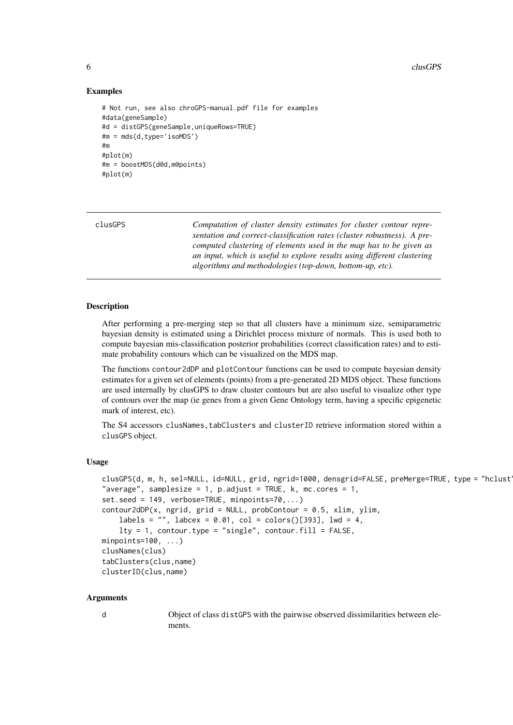<span id="page-5-0"></span>6 clusGPS clusGPS clusGPS clusGPS clusGPS clusGPS clusGPS clusGPS clusGPS clusGPS clusGPS clusGPS clusGPS clusGPS clusGPS clusGPS clusGPS clusGPS clusGPS clusGPS clusGPS clusGPS clusGPS clusGPS clusGPS clusGPS clusGPS clus

#### Examples

```
# Not run, see also chroGPS-manual.pdf file for examples
#data(geneSample)
#d = distGPS(geneSample,uniqueRows=TRUE)
#m = mds(d,type='isoMDS')
#m
#plot(m)
#m = boostMDS(d@d,m@points)
#plot(m)
```

| clusGPS | Computation of cluster density estimates for cluster contour repre-     |
|---------|-------------------------------------------------------------------------|
|         | sentation and correct-classification rates (cluster robustness). A pre- |
|         | computed clustering of elements used in the map has to be given as      |
|         | an input, which is useful to explore results using different clustering |
|         | algorithms and methodologies (top-down, bottom-up, etc).                |

#### Description

After performing a pre-merging step so that all clusters have a minimum size, semiparametric bayesian density is estimated using a Dirichlet process mixture of normals. This is used both to compute bayesian mis-classification posterior probabilities (correct classification rates) and to estimate probability contours which can be visualized on the MDS map.

The functions contour2dDP and plotContour functions can be used to compute bayesian density estimates for a given set of elements (points) from a pre-generated 2D MDS object. These functions are used internally by clusGPS to draw cluster contours but are also useful to visualize other type of contours over the map (ie genes from a given Gene Ontology term, having a specific epigenetic mark of interest, etc).

The S4 accessors clusNames,tabClusters and clusterID retrieve information stored within a clusGPS object.

#### Usage

```
clusGPS(d, m, h, sel=NULL, id=NULL, grid, ngrid=1000, densgrid=FALSE, preMerge=TRUE, type = "hclust
"average", samplesize = 1, p.adjust = TRUE, k, mc.cores = 1,
set.seed = 149, verbose=TRUE, minpoints=70,...)
contour2dDP(x, ngrid, grid = NULL, probContour = 0.5, xlim, ylim,labels = "", labcex = 0.01, col = colors()[393], lwd = 4,
    lty = 1, contour.type = "single", contour.fill = FALSE,
minpoints=100, ...)
clusNames(clus)
tabClusters(clus,name)
clusterID(clus,name)
```
#### Arguments

d Object of class distGPS with the pairwise observed dissimilarities between elements.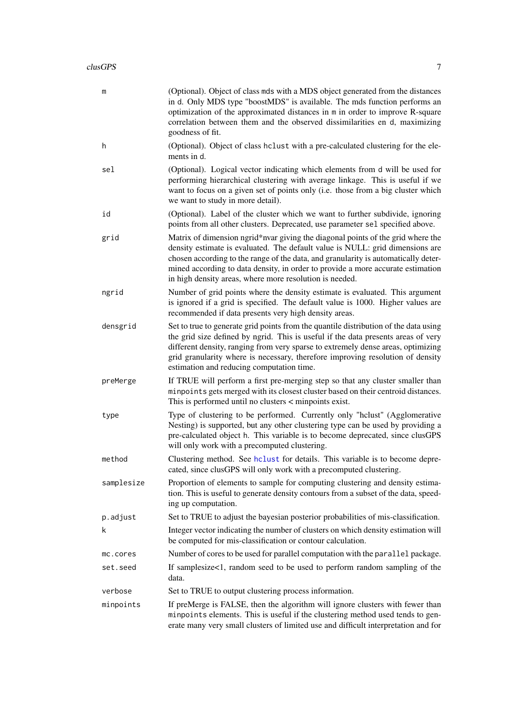<span id="page-6-0"></span>

| (Optional). Object of class mds with a MDS object generated from the distances<br>in d. Only MDS type "boostMDS" is available. The mds function performs an<br>optimization of the approximated distances in m in order to improve R-square<br>correlation between them and the observed dissimilarities en d, maximizing<br>goodness of fit.                                                        |
|------------------------------------------------------------------------------------------------------------------------------------------------------------------------------------------------------------------------------------------------------------------------------------------------------------------------------------------------------------------------------------------------------|
| (Optional). Object of class hclust with a pre-calculated clustering for the ele-<br>ments in d.                                                                                                                                                                                                                                                                                                      |
| (Optional). Logical vector indicating which elements from d will be used for<br>performing hierarchical clustering with average linkage. This is useful if we<br>want to focus on a given set of points only (i.e. those from a big cluster which<br>we want to study in more detail).                                                                                                               |
| (Optional). Label of the cluster which we want to further subdivide, ignoring<br>points from all other clusters. Deprecated, use parameter sel specified above.                                                                                                                                                                                                                                      |
| Matrix of dimension ngrid*nvar giving the diagonal points of the grid where the<br>density estimate is evaluated. The default value is NULL: grid dimensions are<br>chosen according to the range of the data, and granularity is automatically deter-<br>mined according to data density, in order to provide a more accurate estimation<br>in high density areas, where more resolution is needed. |
| Number of grid points where the density estimate is evaluated. This argument<br>is ignored if a grid is specified. The default value is 1000. Higher values are<br>recommended if data presents very high density areas.                                                                                                                                                                             |
| Set to true to generate grid points from the quantile distribution of the data using<br>the grid size defined by ngrid. This is useful if the data presents areas of very<br>different density, ranging from very sparse to extremely dense areas, optimizing<br>grid granularity where is necessary, therefore improving resolution of density<br>estimation and reducing computation time.         |
| If TRUE will perform a first pre-merging step so that any cluster smaller than<br>minpoints gets merged with its closest cluster based on their centroid distances.<br>This is performed until no clusters $\lt$ minpoints exist.                                                                                                                                                                    |
| Type of clustering to be performed. Currently only "hclust" (Agglomerative<br>Nesting) is supported, but any other clustering type can be used by providing a<br>pre-calculated object h. This variable is to become deprecated, since clusGPS<br>will only work with a precomputed clustering.                                                                                                      |
| Clustering method. See holust for details. This variable is to become depre-<br>cated, since clusGPS will only work with a precomputed clustering                                                                                                                                                                                                                                                    |
| Proportion of elements to sample for computing clustering and density estima-<br>tion. This is useful to generate density contours from a subset of the data, speed-<br>ing up computation.                                                                                                                                                                                                          |
| Set to TRUE to adjust the bayesian posterior probabilities of mis-classification.                                                                                                                                                                                                                                                                                                                    |
| Integer vector indicating the number of clusters on which density estimation will<br>be computed for mis-classification or contour calculation.                                                                                                                                                                                                                                                      |
| Number of cores to be used for parallel computation with the parallel package.                                                                                                                                                                                                                                                                                                                       |
| If samplesize<1, random seed to be used to perform random sampling of the<br>data.                                                                                                                                                                                                                                                                                                                   |
| Set to TRUE to output clustering process information.                                                                                                                                                                                                                                                                                                                                                |
| If preMerge is FALSE, then the algorithm will ignore clusters with fewer than<br>minpoints elements. This is useful if the clustering method used tends to gen-<br>erate many very small clusters of limited use and difficult interpretation and for                                                                                                                                                |
|                                                                                                                                                                                                                                                                                                                                                                                                      |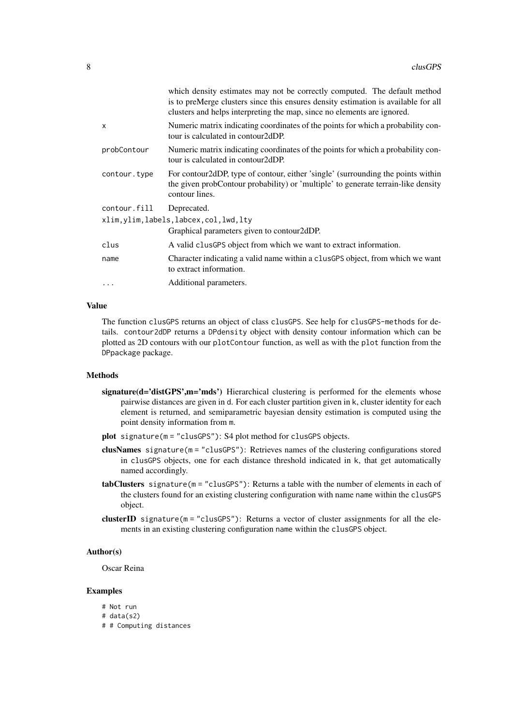|                                           | which density estimates may not be correctly computed. The default method<br>is to preMerge clusters since this ensures density estimation is available for all<br>clusters and helps interpreting the map, since no elements are ignored. |  |
|-------------------------------------------|--------------------------------------------------------------------------------------------------------------------------------------------------------------------------------------------------------------------------------------------|--|
| $\mathsf{x}$                              | Numeric matrix indicating coordinates of the points for which a probability con-<br>tour is calculated in contour2dDP.                                                                                                                     |  |
| probContour                               | Numeric matrix indicating coordinates of the points for which a probability con-<br>tour is calculated in contour2dDP.                                                                                                                     |  |
| contour.type                              | For contour 2dDP, type of contour, either 'single' (surrounding the points within<br>the given probContour probability) or 'multiple' to generate terrain-like density<br>contour lines.                                                   |  |
| contour.fill                              | Deprecated.                                                                                                                                                                                                                                |  |
| xlim, ylim, labels, labcex, col, lwd, lty |                                                                                                                                                                                                                                            |  |
|                                           | Graphical parameters given to contour 2dDP.                                                                                                                                                                                                |  |
| clus                                      | A valid clus GPS object from which we want to extract information.                                                                                                                                                                         |  |
| name                                      | Character indicating a valid name within a clusGPS object, from which we want<br>to extract information.                                                                                                                                   |  |
| $\ddotsc$                                 | Additional parameters.                                                                                                                                                                                                                     |  |

# Value

The function clusGPS returns an object of class clusGPS. See help for clusGPS-methods for details. contour2dDP returns a DPdensity object with density contour information which can be plotted as 2D contours with our plotContour function, as well as with the plot function from the DPpackage package.

# Methods

- signature( $d='distGPS'm='mds'$ ) Hierarchical clustering is performed for the elements whose pairwise distances are given in d. For each cluster partition given in k, cluster identity for each element is returned, and semiparametric bayesian density estimation is computed using the point density information from m.
- plot signature(m = "clusGPS"): S4 plot method for clusGPS objects.
- clusNames signature(m = "clusGPS"): Retrieves names of the clustering configurations stored in clusGPS objects, one for each distance threshold indicated in k, that get automatically named accordingly.
- tabClusters signature(m = "clusGPS"): Returns a table with the number of elements in each of the clusters found for an existing clustering configuration with name name within the clusGPS object.
- clusterID signature(m = "clusGPS"): Returns a vector of cluster assignments for all the elements in an existing clustering configuration name within the clusGPS object.

# Author(s)

Oscar Reina

#### Examples

# Not run # data(s2) # # Computing distances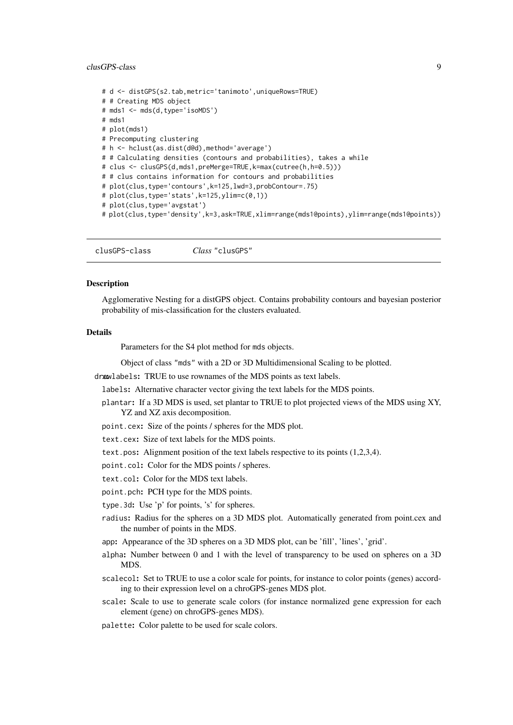#### <span id="page-8-0"></span>clusGPS-class 9

```
# d <- distGPS(s2.tab,metric='tanimoto',uniqueRows=TRUE)
# # Creating MDS object
# mds1 <- mds(d,type='isoMDS')
# mds1
# plot(mds1)
# Precomputing clustering
# h <- hclust(as.dist(d@d),method='average')
# # Calculating densities (contours and probabilities), takes a while
# clus <- clusGPS(d,mds1,preMerge=TRUE,k=max(cutree(h,h=0.5)))
# # clus contains information for contours and probabilities
# plot(clus,type='contours',k=125,lwd=3,probContour=.75)
# plot(clus, type='stats', k=125, ylim=c(0,1))# plot(clus,type='avgstat')
# plot(clus,type='density',k=3,ask=TRUE,xlim=range(mds1@points),ylim=range(mds1@points))
```
clusGPS-class *Class* "clusGPS"

#### Description

Agglomerative Nesting for a distGPS object. Contains probability contours and bayesian posterior probability of mis-classification for the clusters evaluated.

#### Details

Parameters for the S4 plot method for mds objects.

Object of class "mds" with a 2D or 3D Multidimensional Scaling to be plotted.

drawlabels: TRUE to use rownames of the MDS points as text labels.

labels: Alternative character vector giving the text labels for the MDS points.

plantar: If a 3D MDS is used, set plantar to TRUE to plot projected views of the MDS using XY, YZ and XZ axis decomposition.

point.cex: Size of the points / spheres for the MDS plot.

text.cex: Size of text labels for the MDS points.

text.pos: Alignment position of the text labels respective to its points (1,2,3,4).

point.col: Color for the MDS points / spheres.

text.col: Color for the MDS text labels.

point.pch: PCH type for the MDS points.

type.3d: Use 'p' for points, 's' for spheres.

radius: Radius for the spheres on a 3D MDS plot. Automatically generated from point.cex and the number of points in the MDS.

app: Appearance of the 3D spheres on a 3D MDS plot, can be 'fill', 'lines', 'grid'.

- alpha: Number between 0 and 1 with the level of transparency to be used on spheres on a 3D MDS.
- scalecol: Set to TRUE to use a color scale for points, for instance to color points (genes) according to their expression level on a chroGPS-genes MDS plot.
- scale: Scale to use to generate scale colors (for instance normalized gene expression for each element (gene) on chroGPS-genes MDS).

palette: Color palette to be used for scale colors.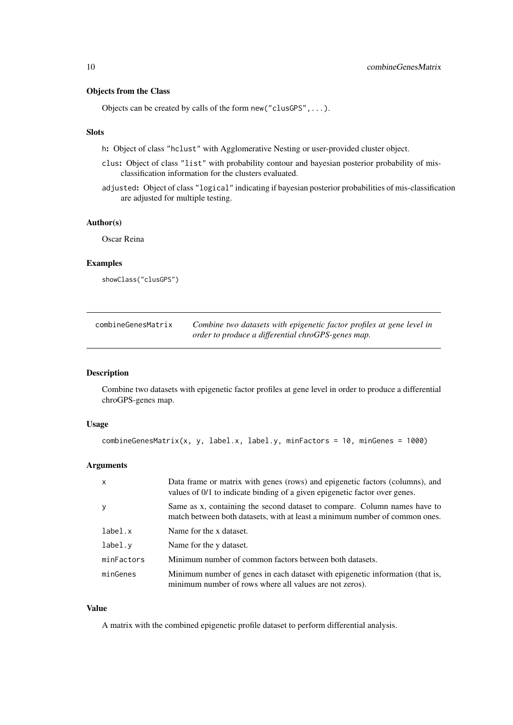# <span id="page-9-0"></span>Objects from the Class

Objects can be created by calls of the form new("clusGPS",...).

# Slots

h: Object of class "hclust" with Agglomerative Nesting or user-provided cluster object.

- clus: Object of class "list" with probability contour and bayesian posterior probability of misclassification information for the clusters evaluated.
- adjusted: Object of class "logical" indicating if bayesian posterior probabilities of mis-classification are adjusted for multiple testing.

# Author(s)

Oscar Reina

# Examples

showClass("clusGPS")

| combineGenesMatrix | Combine two datasets with epigenetic factor profiles at gene level in |
|--------------------|-----------------------------------------------------------------------|
|                    | order to produce a differential chroGPS-genes map.                    |

# Description

Combine two datasets with epigenetic factor profiles at gene level in order to produce a differential chroGPS-genes map.

# Usage

```
combineGenesMatrix(x, y, label.x, label.y, minFactors = 10, minGenes = 1000)
```
# Arguments

| $\mathsf{x}$ | Data frame or matrix with genes (rows) and epigenetic factors (columns), and<br>values of 0/1 to indicate binding of a given epigenetic factor over genes. |
|--------------|------------------------------------------------------------------------------------------------------------------------------------------------------------|
| y            | Same as x, containing the second dataset to compare. Column names have to<br>match between both datasets, with at least a minimum number of common ones.   |
| label.x      | Name for the x dataset.                                                                                                                                    |
| label.v      | Name for the y dataset.                                                                                                                                    |
| minFactors   | Minimum number of common factors between both datasets.                                                                                                    |
| minGenes     | Minimum number of genes in each dataset with epigenetic information (that is,<br>minimum number of rows where all values are not zeros).                   |

# Value

A matrix with the combined epigenetic profile dataset to perform differential analysis.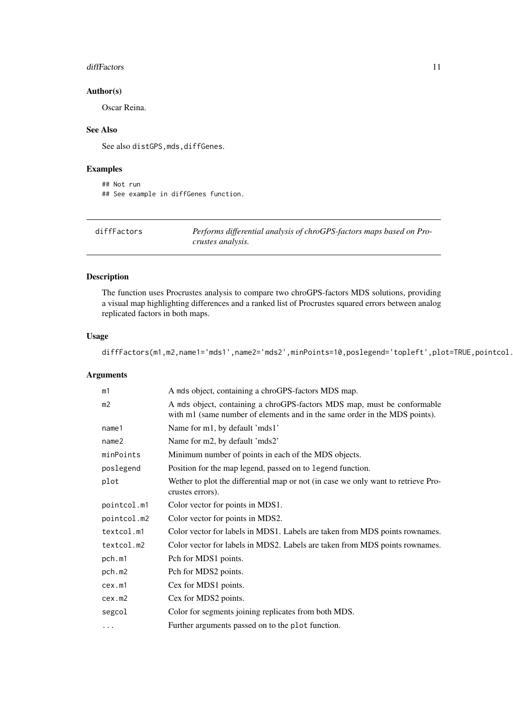#### <span id="page-10-0"></span>diffFactors and the contract of the contract of the contract of the contract of the contract of the contract of the contract of the contract of the contract of the contract of the contract of the contract of the contract o

#### Author(s)

Oscar Reina.

# See Also

See also distGPS, mds, diffGenes.

# Examples

```
## Not run
## See example in diffGenes function.
```

| diffFactors | Performs differential analysis of chroGPS-factors maps based on Pro- |
|-------------|----------------------------------------------------------------------|
|             | crustes analysis.                                                    |

# Description

The function uses Procrustes analysis to compare two chroGPS-factors MDS solutions, providing a visual map highlighting differences and a ranked list of Procrustes squared errors between analog replicated factors in both maps.

# Usage

```
diffFactors(m1,m2,name1='mds1',name2='mds2',minPoints=10,poslegend='topleft',plot=TRUE,pointcol.
```
# Arguments

| m1                | A mds object, containing a chroGPS-factors MDS map.                                                                                                   |
|-------------------|-------------------------------------------------------------------------------------------------------------------------------------------------------|
| m <sub>2</sub>    | A mds object, containing a chroGPS-factors MDS map, must be conformable<br>with m1 (same number of elements and in the same order in the MDS points). |
| name1             | Name for m1, by default 'mds1'                                                                                                                        |
| name <sub>2</sub> | Name for m2, by default 'mds2'                                                                                                                        |
| minPoints         | Minimum number of points in each of the MDS objects.                                                                                                  |
| poslegend         | Position for the map legend, passed on to legend function.                                                                                            |
| plot              | Wether to plot the differential map or not (in case we only want to retrieve Pro-<br>crustes errors).                                                 |
| pointcol.m1       | Color vector for points in MDS1.                                                                                                                      |
| pointcol.m2       | Color vector for points in MDS2.                                                                                                                      |
| textcol.m1        | Color vector for labels in MDS1. Labels are taken from MDS points rownames.                                                                           |
| textcol.m2        | Color vector for labels in MDS2. Labels are taken from MDS points rownames.                                                                           |
| pch.m1            | Pch for MDS1 points.                                                                                                                                  |
| pch.m2            | Pch for MDS2 points.                                                                                                                                  |
| cex.m1            | Cex for MDS1 points.                                                                                                                                  |
| cex.m2            | Cex for MDS2 points.                                                                                                                                  |
| segcol            | Color for segments joining replicates from both MDS.                                                                                                  |
| .                 | Further arguments passed on to the plot function.                                                                                                     |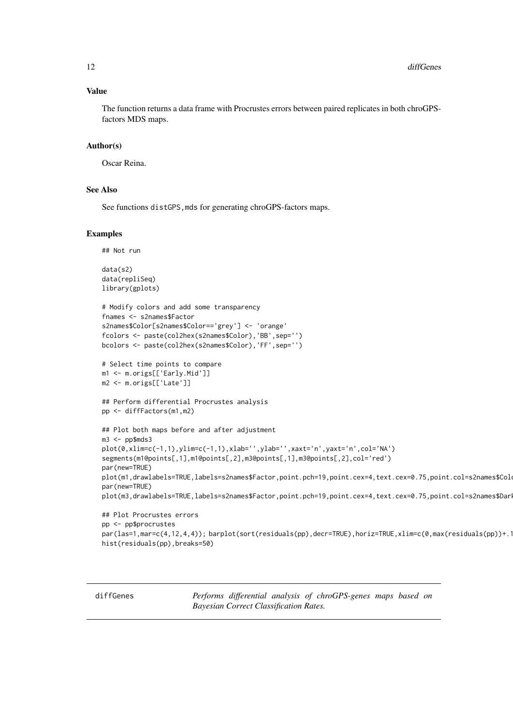#### <span id="page-11-0"></span>Value

The function returns a data frame with Procrustes errors between paired replicates in both chroGPSfactors MDS maps.

# Author(s)

Oscar Reina.

# See Also

See functions distGPS, mds for generating chroGPS-factors maps.

#### Examples

```
## Not run
```

```
data(s2)
data(repliSeq)
library(gplots)
```

```
# Modify colors and add some transparency
fnames <- s2names$Factor
s2names$Color[s2names$Color=='grey'] <- 'orange'
fcolors <- paste(col2hex(s2names$Color),'BB',sep='')
bcolors <- paste(col2hex(s2names$Color),'FF',sep='')
```

```
# Select time points to compare
m1 <- m.origs[['Early.Mid']]
m2 <- m.origs[['Late']]
```

```
## Perform differential Procrustes analysis
pp <- diffFactors(m1,m2)
```

```
## Plot both maps before and after adjustment
m3 < - pp$mds3
plot(0,xlim=c(-1,1),ylim=c(-1,1),xlab='',ylab='',xaxt='n',yaxt='n',col='NA')
segments(m1@points[,1],m1@points[,2],m3@points[,1],m3@points[,2],col='red')
par(new=TRUE)
plot(m1,drawlabels=TRUE,labels=s2names$Factor,point.pch=19,point.cex=4,text.cex=0.75,point.col=s2names$Col
par(new=TRUE)
plot(m3,drawlabels=TRUE,labels=s2names$Factor,point.pch=19,point.cex=4,text.cex=0.75,point.col=s2names$Dar
## Plot Procrustes errors
```

```
pp <- pp$procrustes
par(las=1,mar=c(4,12,4,4)); barplot(sort(residuals(pp),decr=TRUE),horiz=TRUE, xlim=c(\emptyset,max(residuals(pp))+1hist(residuals(pp),breaks=50)
```
diffGenes *Performs differential analysis of chroGPS-genes maps based on Bayesian Correct Classification Rates.*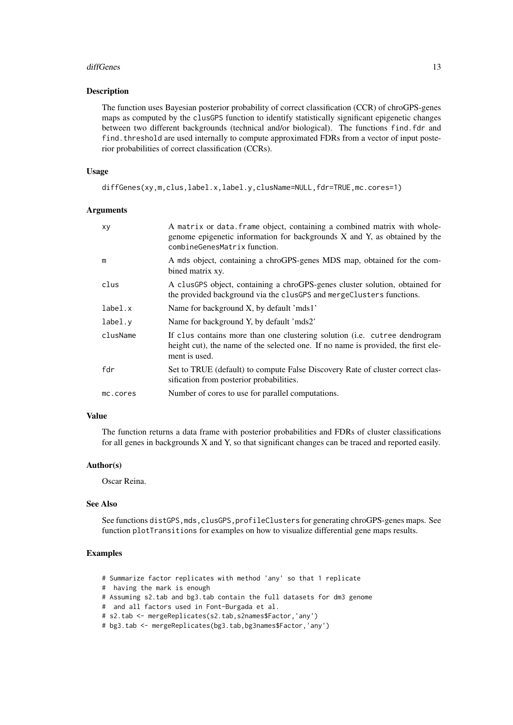#### diffGenes and the set of the set of the set of the set of the set of the set of the set of the set of the set of the set of the set of the set of the set of the set of the set of the set of the set of the set of the set of

#### Description

The function uses Bayesian posterior probability of correct classification (CCR) of chroGPS-genes maps as computed by the clusGPS function to identify statistically significant epigenetic changes between two different backgrounds (technical and/or biological). The functions find.fdr and find. threshold are used internally to compute approximated FDRs from a vector of input posterior probabilities of correct classification (CCRs).

### Usage

```
diffGenes(xy,m,clus,label.x,label.y,clusName=NULL,fdr=TRUE,mc.cores=1)
```
#### Arguments

| xy       | A matrix or data. frame object, containing a combined matrix with whole-<br>genome epigenetic information for backgrounds X and Y, as obtained by the<br>combineGenesMatrix function. |
|----------|---------------------------------------------------------------------------------------------------------------------------------------------------------------------------------------|
| m        | A mds object, containing a chroGPS-genes MDS map, obtained for the com-<br>bined matrix xy.                                                                                           |
| clus     | A clusGPS object, containing a chroGPS-genes cluster solution, obtained for<br>the provided background via the clusGPS and mergeClusters functions.                                   |
| label.x  | Name for background X, by default 'mds1'                                                                                                                                              |
| label.v  | Name for background Y, by default 'mds2'                                                                                                                                              |
| clusName | If clus contains more than one clustering solution (i.e. cutree dendrogram<br>height cut), the name of the selected one. If no name is provided, the first ele-<br>ment is used.      |
| fdr      | Set to TRUE (default) to compute False Discovery Rate of cluster correct clas-<br>sification from posterior probabilities.                                                            |
| mc.cores | Number of cores to use for parallel computations.                                                                                                                                     |
|          |                                                                                                                                                                                       |

# Value

The function returns a data frame with posterior probabilities and FDRs of cluster classifications for all genes in backgrounds X and Y, so that significant changes can be traced and reported easily.

# Author(s)

Oscar Reina.

# See Also

See functions distGPS, mds, clusGPS, profileClusters for generating chroGPS-genes maps. See function plotTransitions for examples on how to visualize differential gene maps results.

- # Summarize factor replicates with method 'any' so that 1 replicate
- # having the mark is enough
- # Assuming s2.tab and bg3.tab contain the full datasets for dm3 genome
- # and all factors used in Font-Burgada et al.
- # s2.tab <- mergeReplicates(s2.tab,s2names\$Factor,'any')
- # bg3.tab <- mergeReplicates(bg3.tab,bg3names\$Factor,'any')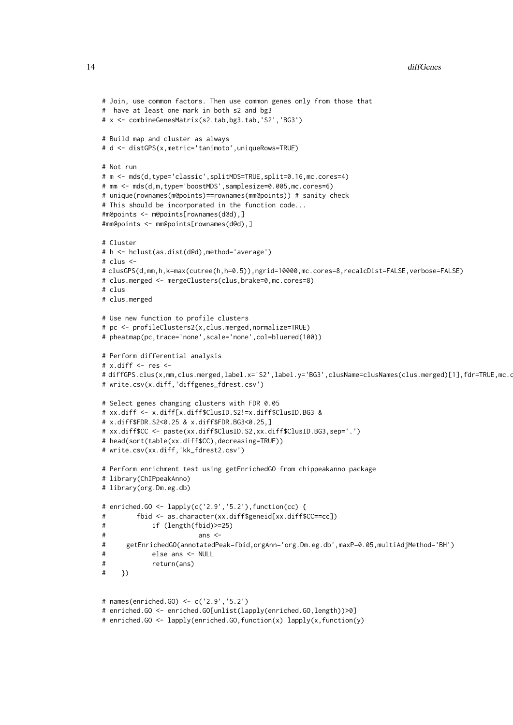```
# Join, use common factors. Then use common genes only from those that
# have at least one mark in both s2 and bg3
# x <- combineGenesMatrix(s2.tab,bg3.tab,'S2','BG3')
# Build map and cluster as always
# d <- distGPS(x,metric='tanimoto',uniqueRows=TRUE)
# Not run
# m <- mds(d,type='classic',splitMDS=TRUE,split=0.16,mc.cores=4)
# mm <- mds(d,m,type='boostMDS',samplesize=0.005,mc.cores=6)
# unique(rownames(m@points)==rownames(mm@points)) # sanity check
# This should be incorporated in the function code...
#m@points <- m@points[rownames(d@d),]
#mm@points <- mm@points[rownames(d@d),]
# Cluster
# h <- hclust(as.dist(d@d),method='average')
# clus \leq#clusGPS(d,mm,h,k=max(cutree(h,h=0.5)),ngrid=10000,mc.cores=8,recalcDist=FALSE,verbose=FALSE)
# clus.merged <- mergeClusters(clus,brake=0,mc.cores=8)
# clus
# clus.merged
# Use new function to profile clusters
# pc <- profileClusters2(x,clus.merged,normalize=TRUE)
# pheatmap(pc,trace='none',scale='none',col=bluered(100))
# Perform differential analysis
# x.diff <- res <-# diffGPS.clus(x.mm.clus.merged.label.x='S2',label.y='BG3',clusName=clusNames(clus.merged)[1],fdr=TRUE,mc.ores=
# write.csv(x.diff,'diffgenes_fdrest.csv')
# Select genes changing clusters with FDR 0.05
# xx.diff <- x.diff[x.diff$ClusID.S2!=x.diff$ClusID.BG3 &
# x.diff$FDR.S2<0.25 & x.diff$FDR.BG3<0.25,]
# xx.diff$CC <- paste(xx.diff$ClusID.S2,xx.diff$ClusID.BG3,sep='.')
# head(sort(table(xx.diff$CC),decreasing=TRUE))
# write.csv(xx.diff,'kk_fdrest2.csv')
# Perform enrichment test using getEnrichedGO from chippeakanno package
# library(ChIPpeakAnno)
# library(org.Dm.eg.db)
# enriched.GO <- lapply(c('2.9','5.2'),function(cc) {
# fbid <- as.character(xx.diff$geneid[xx.diff$CC==cc])
# if (length(fbid)>=25)
# ans <-# getEnrichedGO(annotatedPeak=fbid,orgAnn='org.Dm.eg.db',maxP=0.05,multiAdjMethod='BH')
# else ans <- NULL
# return(ans)
# })
# names(enriched.GO) <- c('2.9','5.2')
# enriched.GO <- enriched.GO[unlist(lapply(enriched.GO,length))>0]
```

```
# enriched.GO <- lapply(enriched.GO,function(x) lapply(x,function(y)
```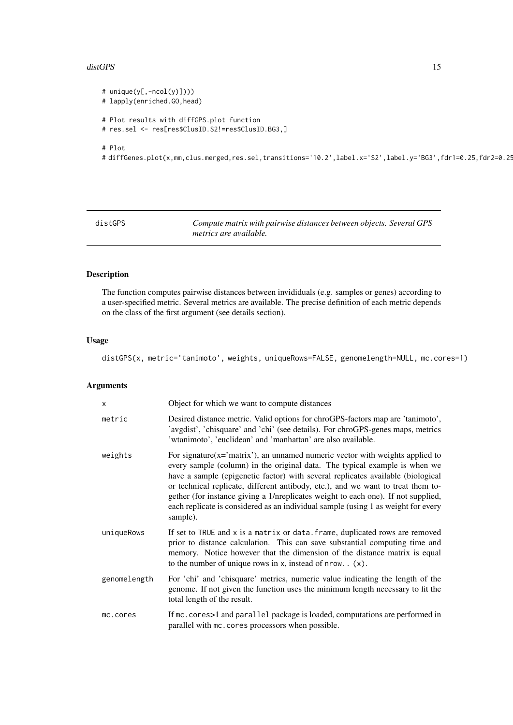#### <span id="page-14-0"></span>distGPS and the state of the state of the state of the state of the state of the state of the state of the state of the state of the state of the state of the state of the state of the state of the state of the state of th

```
# unique(y[,-ncol(y)])))
# lapply(enriched.GO,head)
# Plot results with diffGPS.plot function
# res.sel <- res[res$ClusID.S2!=res$ClusID.BG3,]
# Plot
```
# diffGenes.plot(x,mm,clus.merged,res.sel,transitions='10.2',label.x='S2',label.y='BG3',fdr1=0.25,fdr2=0.25)

<span id="page-14-1"></span>distGPS *Compute matrix with pairwise distances between objects. Several GPS metrics are available.*

# Description

The function computes pairwise distances between invididuals (e.g. samples or genes) according to a user-specified metric. Several metrics are available. The precise definition of each metric depends on the class of the first argument (see details section).

#### Usage

distGPS(x, metric='tanimoto', weights, uniqueRows=FALSE, genomelength=NULL, mc.cores=1)

#### Arguments

| $\mathsf{x}$ | Object for which we want to compute distances                                                                                                                                                                                                                                                                                                                                                                                                                                                                                 |
|--------------|-------------------------------------------------------------------------------------------------------------------------------------------------------------------------------------------------------------------------------------------------------------------------------------------------------------------------------------------------------------------------------------------------------------------------------------------------------------------------------------------------------------------------------|
| metric       | Desired distance metric. Valid options for chroGPS-factors map are 'tanimoto',<br>'avgdist', 'chisquare' and 'chi' (see details). For chroGPS-genes maps, metrics<br>'wtanimoto', 'euclidean' and 'manhattan' are also available.                                                                                                                                                                                                                                                                                             |
| weights      | For signature( $x = 'matrix'$ ), an unnamed numeric vector with weights applied to<br>every sample (column) in the original data. The typical example is when we<br>have a sample (epigenetic factor) with several replicates available (biological<br>or technical replicate, different antibody, etc.), and we want to treat them to-<br>gether (for instance giving a 1/nreplicates weight to each one). If not supplied,<br>each replicate is considered as an individual sample (using 1 as weight for every<br>sample). |
| uniqueRows   | If set to TRUE and x is a matrix or data. frame, duplicated rows are removed<br>prior to distance calculation. This can save substantial computing time and<br>memory. Notice however that the dimension of the distance matrix is equal<br>to the number of unique rows in $x$ , instead of nrow. $(x)$ .                                                                                                                                                                                                                    |
| genomelength | For 'chi' and 'chisquare' metrics, numeric value indicating the length of the<br>genome. If not given the function uses the minimum length necessary to fit the<br>total length of the result.                                                                                                                                                                                                                                                                                                                                |
| mc.cores     | If mc. cores>1 and parallel package is loaded, computations are performed in<br>parallel with mc. cores processors when possible.                                                                                                                                                                                                                                                                                                                                                                                             |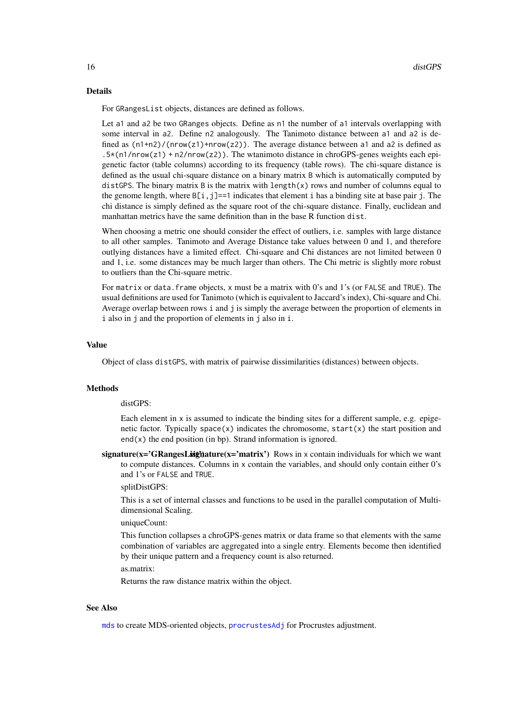#### <span id="page-15-0"></span>Details

For GRangesList objects, distances are defined as follows.

Let a1 and a2 be two GRanges objects. Define as n1 the number of a1 intervals overlapping with some interval in a2. Define n2 analogously. The Tanimoto distance between a1 and a2 is defined as  $(n1+n2)/(nrow(z1)+nrow(z2))$ . The average distance between a1 and a2 is defined as .5\*(n1/nrow(z1) + n2/nrow(z2)). The wtanimoto distance in chroGPS-genes weights each epigenetic factor (table columns) according to its frequency (table rows). The chi-square distance is defined as the usual chi-square distance on a binary matrix B which is automatically computed by distGPS. The binary matrix B is the matrix with length(x) rows and number of columns equal to the genome length, where  $B[i, j] == 1$  indicates that element i has a binding site at base pair j. The chi distance is simply defined as the square root of the chi-square distance. Finally, euclidean and manhattan metrics have the same definition than in the base R function dist.

When choosing a metric one should consider the effect of outliers, i.e. samples with large distance to all other samples. Tanimoto and Average Distance take values between 0 and 1, and therefore outlying distances have a limited effect. Chi-square and Chi distances are not limited between 0 and 1, i.e. some distances may be much larger than others. The Chi metric is slightly more robust to outliers than the Chi-square metric.

For matrix or data. frame objects, x must be a matrix with 0's and 1's (or FALSE and TRUE). The usual definitions are used for Tanimoto (which is equivalent to Jaccard's index), Chi-square and Chi. Average overlap between rows i and j is simply the average between the proportion of elements in i also in j and the proportion of elements in j also in i.

# Value

Object of class distGPS, with matrix of pairwise dissimilarities (distances) between objects.

#### **Methods**

distGPS:

Each element in x is assumed to indicate the binding sites for a different sample, e.g. epigenetic factor. Typically space(x) indicates the chromosome,  $start(x)$  the start position and  $end(x)$  the end position (in bp). Strand information is ignored.

signature( $x = 'GRangesList'$ ) at  $x = 'matrix'$ ) Rows in x contain individuals for which we want to compute distances. Columns in x contain the variables, and should only contain either 0's and 1's or FALSE and TRUE.

splitDistGPS:

This is a set of internal classes and functions to be used in the parallel computation of Multidimensional Scaling.

uniqueCount:

This function collapses a chroGPS-genes matrix or data frame so that elements with the same combination of variables are aggregated into a single entry. Elements become then identified by their unique pattern and a frequency count is also returned.

as.matrix:

Returns the raw distance matrix within the object.

# See Also

[mds](#page-21-1) to create MDS-oriented objects, [procrustesAdj](#page-27-1) for Procrustes adjustment.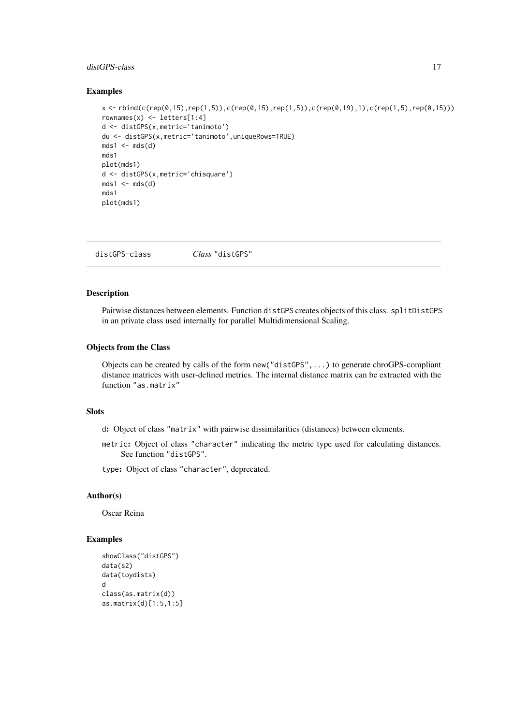#### <span id="page-16-0"></span>distGPS-class 17

#### Examples

```
x <- rbind(c(rep(0,15),rep(1,5)),c(rep(0,15),rep(1,5)),c(rep(0,19),1),c(rep(1,5),rep(0,15)))
rownames(x) <- letters[1:4]
d <- distGPS(x,metric='tanimoto')
du <- distGPS(x,metric='tanimoto',uniqueRows=TRUE)
mds1 <- mds(d)mds1
plot(mds1)
d <- distGPS(x,metric='chisquare')
mds1 \leftarrow mds(d)mds1
plot(mds1)
```
distGPS-class *Class* "distGPS"

#### Description

Pairwise distances between elements. Function distGPS creates objects of this class. splitDistGPS in an private class used internally for parallel Multidimensional Scaling.

#### Objects from the Class

Objects can be created by calls of the form new("distGPS",...) to generate chroGPS-compliant distance matrices with user-defined metrics. The internal distance matrix can be extracted with the function "as.matrix"

# Slots

d: Object of class "matrix" with pairwise dissimilarities (distances) between elements.

metric: Object of class "character" indicating the metric type used for calculating distances. See function "distGPS".

type: Object of class "character", deprecated.

# Author(s)

Oscar Reina

```
showClass("distGPS")
data(s2)
data(toydists)
d
class(as.matrix(d))
as.matrix(d)[1:5,1:5]
```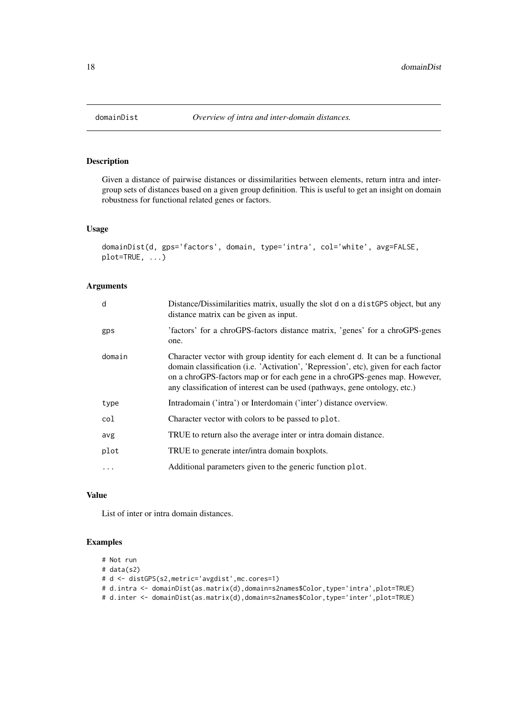Given a distance of pairwise distances or dissimilarities between elements, return intra and intergroup sets of distances based on a given group definition. This is useful to get an insight on domain robustness for functional related genes or factors.

#### Usage

```
domainDist(d, gps='factors', domain, type='intra', col='white', avg=FALSE,
plot=TRUE, ...)
```
# Arguments

| d          | Distance/Dissimilarities matrix, usually the slot d on a distGPS object, but any<br>distance matrix can be given as input.                                                                                                                                                                                                         |
|------------|------------------------------------------------------------------------------------------------------------------------------------------------------------------------------------------------------------------------------------------------------------------------------------------------------------------------------------|
| gps        | 'factors' for a chroGPS-factors distance matrix, 'genes' for a chroGPS-genes<br>one.                                                                                                                                                                                                                                               |
| domain     | Character vector with group identity for each element d. It can be a functional<br>domain classification (i.e. 'Activation', 'Repression', etc), given for each factor<br>on a chroGPS-factors map or for each gene in a chroGPS-genes map. However,<br>any classification of interest can be used (pathways, gene ontology, etc.) |
| type       | Intradomain ('intra') or Interdomain ('inter') distance overview.                                                                                                                                                                                                                                                                  |
| col        | Character vector with colors to be passed to plot.                                                                                                                                                                                                                                                                                 |
| avg        | TRUE to return also the average inter or intra domain distance.                                                                                                                                                                                                                                                                    |
| plot       | TRUE to generate inter/intra domain boxplots.                                                                                                                                                                                                                                                                                      |
| $\ddots$ . | Additional parameters given to the generic function plot.                                                                                                                                                                                                                                                                          |

#### Value

List of inter or intra domain distances.

```
# Not run
# data(s2)
# d <- distGPS(s2,metric='avgdist',mc.cores=1)
# d.intra <- domainDist(as.matrix(d),domain=s2names$Color,type='intra',plot=TRUE)
# d.inter <- domainDist(as.matrix(d),domain=s2names$Color,type='inter',plot=TRUE)
```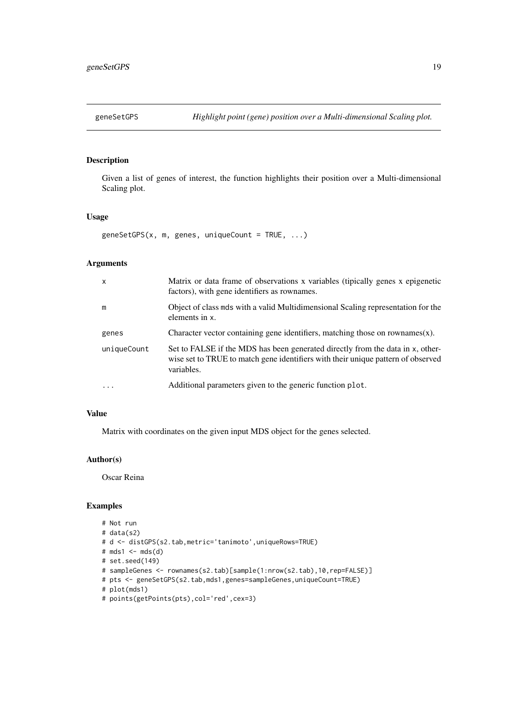<span id="page-18-0"></span>

Given a list of genes of interest, the function highlights their position over a Multi-dimensional Scaling plot.

# Usage

geneSetGPS(x, m, genes, uniqueCount = TRUE, ...)

# Arguments

| $\mathsf{x}$ | Matrix or data frame of observations x variables (tipically genes x epigenetic<br>factors), with gene identifiers as rownames.                                                   |
|--------------|----------------------------------------------------------------------------------------------------------------------------------------------------------------------------------|
| m            | Object of class mds with a valid Multidimensional Scaling representation for the<br>elements in x.                                                                               |
| genes        | Character vector containing gene identifiers, matching those on rownames $(x)$ .                                                                                                 |
| uniqueCount  | Set to FALSE if the MDS has been generated directly from the data in x, other-<br>wise set to TRUE to match gene identifiers with their unique pattern of observed<br>variables. |
| $\ddots$     | Additional parameters given to the generic function plot.                                                                                                                        |

# Value

Matrix with coordinates on the given input MDS object for the genes selected.

#### Author(s)

Oscar Reina

```
# Not run
# data(s2)
# d <- distGPS(s2.tab,metric='tanimoto',uniqueRows=TRUE)
# mds1 < - mds(d)# set.seed(149)
# sampleGenes <- rownames(s2.tab)[sample(1:nrow(s2.tab),10,rep=FALSE)]
# pts <- geneSetGPS(s2.tab,mds1,genes=sampleGenes,uniqueCount=TRUE)
# plot(mds1)
# points(getPoints(pts),col='red',cex=3)
```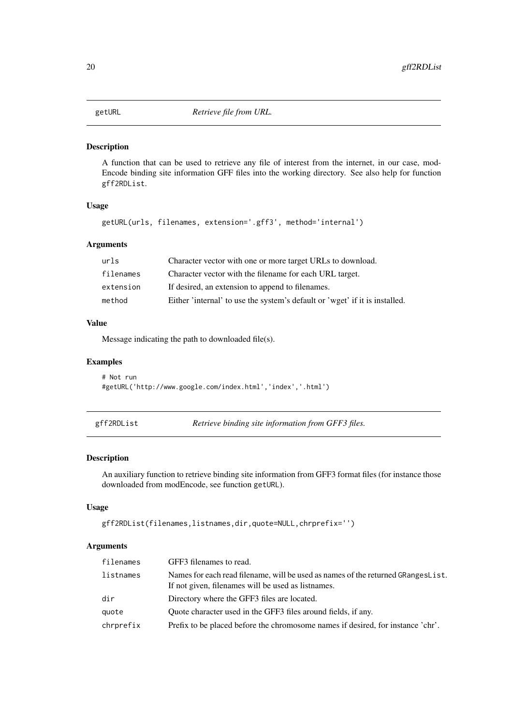<span id="page-19-0"></span>

A function that can be used to retrieve any file of interest from the internet, in our case, mod-Encode binding site information GFF files into the working directory. See also help for function gff2RDList.

# Usage

```
getURL(urls, filenames, extension='.gff3', method='internal')
```
# Arguments

| urls      | Character vector with one or more target URLs to download.                  |
|-----------|-----------------------------------------------------------------------------|
| filenames | Character vector with the filename for each URL target.                     |
| extension | If desired, an extension to append to filenames.                            |
| method    | Either 'internal' to use the system's default or 'wget' if it is installed. |

#### Value

Message indicating the path to downloaded file(s).

# Examples

```
# Not run
#getURL('http://www.google.com/index.html','index','.html')
```
gff2RDList *Retrieve binding site information from GFF3 files.*

# Description

An auxiliary function to retrieve binding site information from GFF3 format files (for instance those downloaded from modEncode, see function getURL).

# Usage

```
gff2RDList(filenames,listnames,dir,quote=NULL,chrprefix='')
```
#### Arguments

| filenames | GFF3 filenames to read.                                                                                                                |
|-----------|----------------------------------------------------------------------------------------------------------------------------------------|
| listnames | Names for each read filename, will be used as names of the returned GRangesList.<br>If not given, filenames will be used as listnames. |
| dir       | Directory where the GFF3 files are located.                                                                                            |
| quote     | Quote character used in the GFF3 files around fields, if any.                                                                          |
| chrprefix | Prefix to be placed before the chromosome names if desired, for instance 'chr'.                                                        |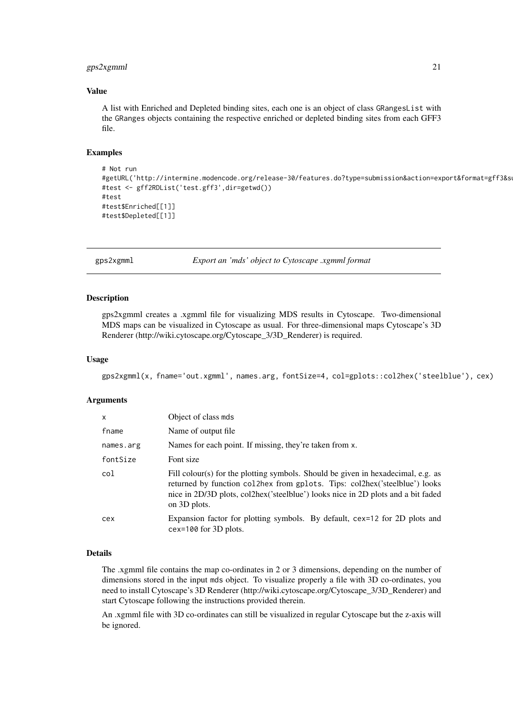#### <span id="page-20-0"></span> $gps2xgmml$  21

#### Value

A list with Enriched and Depleted binding sites, each one is an object of class GRangesList with the GRanges objects containing the respective enriched or depleted binding sites from each GFF3 file.

#### Examples

```
# Not run
#getURL('http://intermine.modencode.org/release-30/features.do?type=submission&action=export&format=gff3&s
#test <- gff2RDList('test.gff3',dir=getwd())
#test
#test$Enriched[[1]]
#test$Depleted[[1]]
```
gps2xgmml *Export an 'mds' object to Cytoscape .xgmml format*

# Description

gps2xgmml creates a .xgmml file for visualizing MDS results in Cytoscape. Two-dimensional MDS maps can be visualized in Cytoscape as usual. For three-dimensional maps Cytoscape's 3D Renderer (http://wiki.cytoscape.org/Cytoscape\_3/3D\_Renderer) is required.

#### Usage

gps2xgmml(x, fname='out.xgmml', names.arg, fontSize=4, col=gplots::col2hex('steelblue'), cex)

#### Arguments

| $\mathsf{x}$ | Object of class mds                                                                                                                                                                                                                                               |
|--------------|-------------------------------------------------------------------------------------------------------------------------------------------------------------------------------------------------------------------------------------------------------------------|
| fname        | Name of output file.                                                                                                                                                                                                                                              |
| names.arg    | Names for each point. If missing, they're taken from x.                                                                                                                                                                                                           |
| fontSize     | Font size                                                                                                                                                                                                                                                         |
| col          | Fill colour(s) for the plotting symbols. Should be given in hexadecimal, e.g. as<br>returned by function coller from gplots. Tips: colleral steelblue') looks<br>nice in 2D/3D plots, col2hex('steelblue') looks nice in 2D plots and a bit faded<br>on 3D plots. |
| cex          | Expansion factor for plotting symbols. By default, cex=12 for 2D plots and<br>$cex=100$ for 3D plots.                                                                                                                                                             |

#### Details

The .xgmml file contains the map co-ordinates in 2 or 3 dimensions, depending on the number of dimensions stored in the input mds object. To visualize properly a file with 3D co-ordinates, you need to install Cytoscape's 3D Renderer (http://wiki.cytoscape.org/Cytoscape\_3/3D\_Renderer) and start Cytoscape following the instructions provided therein.

An .xgmml file with 3D co-ordinates can still be visualized in regular Cytoscape but the z-axis will be ignored.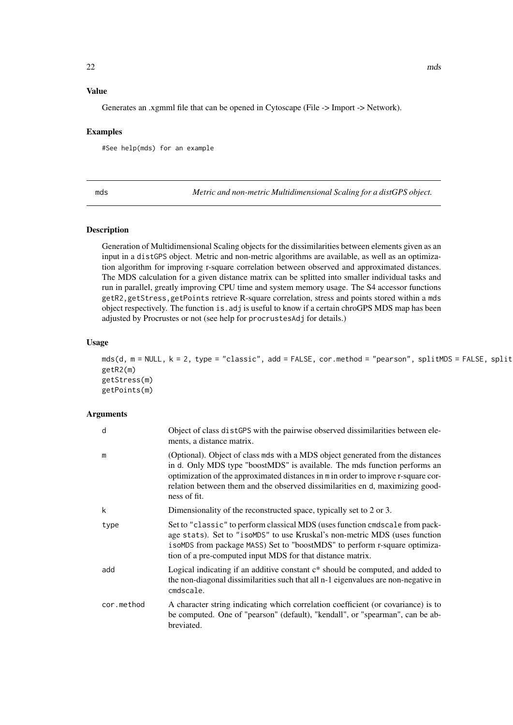# <span id="page-21-0"></span>Value

Generates an .xgmml file that can be opened in Cytoscape (File -> Import -> Network).

#### Examples

#See help(mds) for an example

<span id="page-21-1"></span>mds *Metric and non-metric Multidimensional Scaling for a distGPS object.*

#### Description

Generation of Multidimensional Scaling objects for the dissimilarities between elements given as an input in a distGPS object. Metric and non-metric algorithms are available, as well as an optimization algorithm for improving r-square correlation between observed and approximated distances. The MDS calculation for a given distance matrix can be splitted into smaller individual tasks and run in parallel, greatly improving CPU time and system memory usage. The S4 accessor functions getR2,getStress,getPoints retrieve R-square correlation, stress and points stored within a mds object respectively. The function is.adj is useful to know if a certain chroGPS MDS map has been adjusted by Procrustes or not (see help for procrustesAdj for details.)

#### Usage

 $mds(d, m = NULL, k = 2, type = "classic", add = FALSE, cor.method = "pearson", splitMDS = FALSE, split$ getR2(m) getStress(m) getPoints(m)

# Arguments

| d          | Object of class distGPS with the pairwise observed dissimilarities between ele-<br>ments, a distance matrix.                                                                                                                                                                                                                                      |
|------------|---------------------------------------------------------------------------------------------------------------------------------------------------------------------------------------------------------------------------------------------------------------------------------------------------------------------------------------------------|
| m          | (Optional). Object of class mds with a MDS object generated from the distances<br>in d. Only MDS type "boostMDS" is available. The mds function performs an<br>optimization of the approximated distances in m in order to improve r-square cor-<br>relation between them and the observed dissimilarities en d, maximizing good-<br>ness of fit. |
| k          | Dimensionality of the reconstructed space, typically set to 2 or 3.                                                                                                                                                                                                                                                                               |
| type       | Set to "classic" to perform classical MDS (uses function cmdscale from pack-<br>age stats). Set to "isoMDS" to use Kruskal's non-metric MDS (uses function<br>isoMDS from package MASS) Set to "boostMDS" to perform r-square optimiza-<br>tion of a pre-computed input MDS for that distance matrix.                                             |
| add        | Logical indicating if an additive constant $c^*$ should be computed, and added to<br>the non-diagonal dissimilarities such that all n-1 eigenvalues are non-negative in<br>cmdscale.                                                                                                                                                              |
| cor.method | A character string indicating which correlation coefficient (or covariance) is to<br>be computed. One of "pearson" (default), "kendall", or "spearman", can be ab-<br>breviated.                                                                                                                                                                  |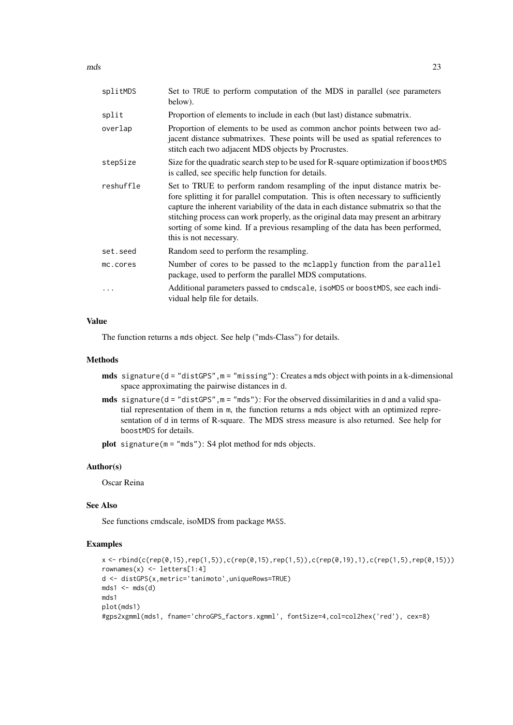$\text{mds}$  23

| splitMDS  | Set to TRUE to perform computation of the MDS in parallel (see parameters<br>below).                                                                                                                                                                                                                                                                                                                                                                      |
|-----------|-----------------------------------------------------------------------------------------------------------------------------------------------------------------------------------------------------------------------------------------------------------------------------------------------------------------------------------------------------------------------------------------------------------------------------------------------------------|
| split     | Proportion of elements to include in each (but last) distance submatrix.                                                                                                                                                                                                                                                                                                                                                                                  |
| overlap   | Proportion of elements to be used as common anchor points between two ad-<br>jacent distance submatrixes. These points will be used as spatial references to<br>stitch each two adjacent MDS objects by Procrustes.                                                                                                                                                                                                                                       |
| stepSize  | Size for the quadratic search step to be used for R-square optimization if boostMDS<br>is called, see specific help function for details.                                                                                                                                                                                                                                                                                                                 |
| reshuffle | Set to TRUE to perform random resampling of the input distance matrix be-<br>fore splitting it for parallel computation. This is often necessary to sufficiently<br>capture the inherent variability of the data in each distance submatrix so that the<br>stitching process can work properly, as the original data may present an arbitrary<br>sorting of some kind. If a previous resampling of the data has been performed,<br>this is not necessary. |
| set.seed  | Random seed to perform the resampling.                                                                                                                                                                                                                                                                                                                                                                                                                    |
| mc.cores  | Number of cores to be passed to the mclapply function from the parallel<br>package, used to perform the parallel MDS computations.                                                                                                                                                                                                                                                                                                                        |
|           | Additional parameters passed to cmdscale, isoMDS or boostMDS, see each indi-<br>vidual help file for details.                                                                                                                                                                                                                                                                                                                                             |

#### Value

The function returns a mds object. See help ("mds-Class") for details.

#### Methods

- mds signature(d = "distGPS", m = "missing"): Creates a mds object with points in a k-dimensional space approximating the pairwise distances in d.
- mds signature(d = "distGPS",m = "mds"): For the observed dissimilarities in d and a valid spatial representation of them in m, the function returns a mds object with an optimized representation of d in terms of R-square. The MDS stress measure is also returned. See help for boostMDS for details.
- plot signature(m = "mds"): S4 plot method for mds objects.

#### Author(s)

Oscar Reina

# See Also

See functions cmdscale, isoMDS from package MASS.

```
x <- rbind(c(rep(0,15),rep(1,5)),c(rep(0,15),rep(1,5)),c(rep(0,19),1),c(rep(1,5),rep(0,15)))
rownames(x) <- letters[1:4]
d <- distGPS(x,metric='tanimoto',uniqueRows=TRUE)
mds1 \leftarrow mds(d)mds1
plot(mds1)
#gps2xgmml(mds1, fname='chroGPS_factors.xgmml', fontSize=4,col=col2hex('red'), cex=8)
```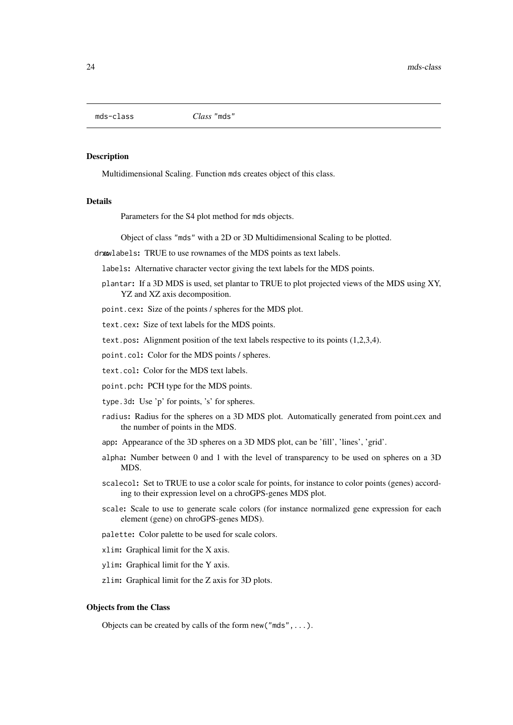<span id="page-23-0"></span>mds-class *Class* "mds"

#### Description

Multidimensional Scaling. Function mds creates object of this class.

#### Details

Parameters for the S4 plot method for mds objects.

Object of class "mds" with a 2D or 3D Multidimensional Scaling to be plotted.

drawlabels: TRUE to use rownames of the MDS points as text labels.

labels: Alternative character vector giving the text labels for the MDS points.

plantar: If a 3D MDS is used, set plantar to TRUE to plot projected views of the MDS using XY, YZ and XZ axis decomposition.

point.cex: Size of the points / spheres for the MDS plot.

text.cex: Size of text labels for the MDS points.

text.pos: Alignment position of the text labels respective to its points (1,2,3,4).

point.col: Color for the MDS points / spheres.

text.col: Color for the MDS text labels.

point.pch: PCH type for the MDS points.

type.3d: Use 'p' for points, 's' for spheres.

- radius: Radius for the spheres on a 3D MDS plot. Automatically generated from point.cex and the number of points in the MDS.
- app: Appearance of the 3D spheres on a 3D MDS plot, can be 'fill', 'lines', 'grid'.
- alpha: Number between 0 and 1 with the level of transparency to be used on spheres on a 3D MDS.
- scalecol: Set to TRUE to use a color scale for points, for instance to color points (genes) according to their expression level on a chroGPS-genes MDS plot.
- scale: Scale to use to generate scale colors (for instance normalized gene expression for each element (gene) on chroGPS-genes MDS).
- palette: Color palette to be used for scale colors.
- xlim: Graphical limit for the X axis.
- ylim: Graphical limit for the Y axis.
- zlim: Graphical limit for the Z axis for 3D plots.

# Objects from the Class

Objects can be created by calls of the form new ("mds", ...).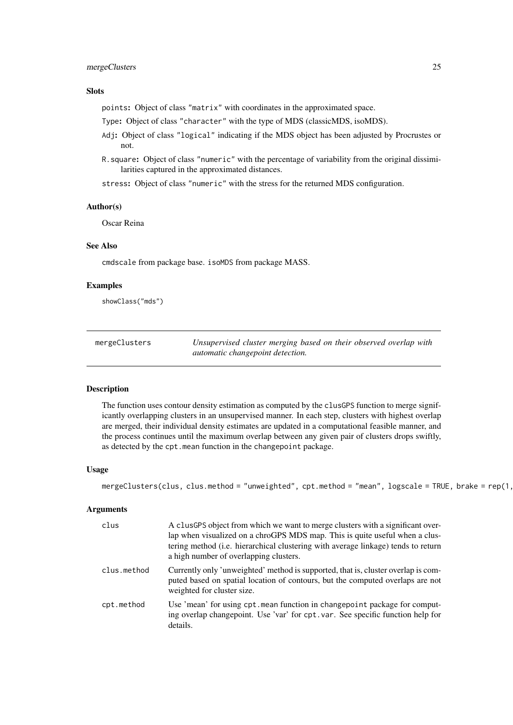#### <span id="page-24-0"></span>mergeClusters 25

# Slots

points: Object of class "matrix" with coordinates in the approximated space.

Type: Object of class "character" with the type of MDS (classicMDS, isoMDS).

- Adj: Object of class "logical" indicating if the MDS object has been adjusted by Procrustes or not.
- R.square: Object of class "numeric" with the percentage of variability from the original dissimilarities captured in the approximated distances.

stress: Object of class "numeric" with the stress for the returned MDS configuration.

#### Author(s)

Oscar Reina

#### See Also

cmdscale from package base. isoMDS from package MASS.

#### Examples

showClass("mds")

| mergeClusters | Unsupervised cluster merging based on their observed overlap with |
|---------------|-------------------------------------------------------------------|
|               | automatic changepoint detection.                                  |

#### Description

The function uses contour density estimation as computed by the clusGPS function to merge significantly overlapping clusters in an unsupervised manner. In each step, clusters with highest overlap are merged, their individual density estimates are updated in a computational feasible manner, and the process continues until the maximum overlap between any given pair of clusters drops swiftly, as detected by the cpt.mean function in the changepoint package.

# Usage

```
mergeClusters(clus, clus.method = "unweighted", cpt.method = "mean", logscale = TRUE, brake = rep(1,
```
#### Arguments

| clus        | A clusGPS object from which we want to merge clusters with a significant over-<br>lap when visualized on a chroGPS MDS map. This is quite useful when a clus-<br>tering method (i.e. hierarchical clustering with average linkage) tends to return<br>a high number of overlapping clusters. |
|-------------|----------------------------------------------------------------------------------------------------------------------------------------------------------------------------------------------------------------------------------------------------------------------------------------------|
| clus.method | Currently only 'unweighted' method is supported, that is, cluster overlap is com-<br>puted based on spatial location of contours, but the computed overlaps are not<br>weighted for cluster size.                                                                                            |
| cpt.method  | Use 'mean' for using cpt. mean function in changepoint package for comput-<br>ing overlap changepoint. Use 'var' for cpt. var. See specific function help for<br>details.                                                                                                                    |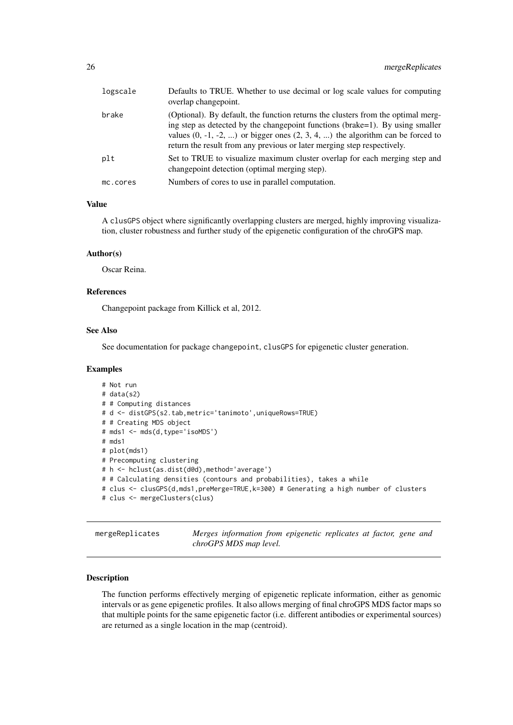<span id="page-25-0"></span>

| logscale | Defaults to TRUE. Whether to use decimal or log scale values for computing<br>overlap changepoint.                                                                                                                                                                                                                                 |
|----------|------------------------------------------------------------------------------------------------------------------------------------------------------------------------------------------------------------------------------------------------------------------------------------------------------------------------------------|
| brake    | (Optional). By default, the function returns the clusters from the optimal merg-<br>ing step as detected by the changepoint functions (brake=1). By using smaller<br>values $(0, -1, -2, )$ or bigger ones $(2, 3, 4, )$ the algorithm can be forced to<br>return the result from any previous or later merging step respectively. |
| plt      | Set to TRUE to visualize maximum cluster overlap for each merging step and<br>changepoint detection (optimal merging step).                                                                                                                                                                                                        |
| mc.cores | Numbers of cores to use in parallel computation.                                                                                                                                                                                                                                                                                   |

#### Value

A clusGPS object where significantly overlapping clusters are merged, highly improving visualization, cluster robustness and further study of the epigenetic configuration of the chroGPS map.

#### Author(s)

Oscar Reina.

#### References

Changepoint package from Killick et al, 2012.

#### See Also

See documentation for package changepoint, clusGPS for epigenetic cluster generation.

#### Examples

```
# Not run
# data(s2)
# # Computing distances
# d <- distGPS(s2.tab,metric='tanimoto',uniqueRows=TRUE)
# # Creating MDS object
# mds1 <- mds(d,type='isoMDS')
# mds1
# plot(mds1)
# Precomputing clustering
# h <- hclust(as.dist(d@d),method='average')
# # Calculating densities (contours and probabilities), takes a while
# clus <- clusGPS(d,mds1,preMerge=TRUE,k=300) # Generating a high number of clusters
# clus <- mergeClusters(clus)
```
mergeReplicates *Merges information from epigenetic replicates at factor, gene and chroGPS MDS map level.*

# Description

The function performs effectively merging of epigenetic replicate information, either as genomic intervals or as gene epigenetic profiles. It also allows merging of final chroGPS MDS factor maps so that multiple points for the same epigenetic factor (i.e. different antibodies or experimental sources) are returned as a single location in the map (centroid).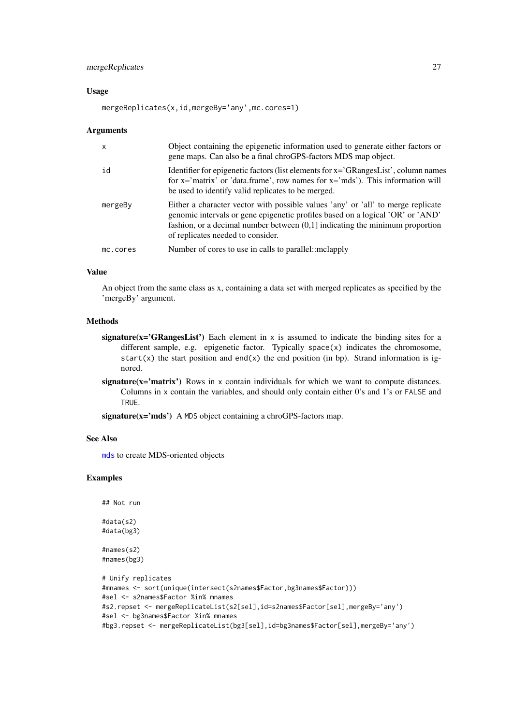#### <span id="page-26-0"></span>mergeReplicates 27

#### Usage

```
mergeReplicates(x,id,mergeBy='any',mc.cores=1)
```
#### Arguments

| $\mathsf{x}$ | Object containing the epigenetic information used to generate either factors or<br>gene maps. Can also be a final chroGPS-factors MDS map object.                                                                                                                                         |
|--------------|-------------------------------------------------------------------------------------------------------------------------------------------------------------------------------------------------------------------------------------------------------------------------------------------|
| id           | Identifier for epigenetic factors (list elements for x='GRangesList', column names<br>for $x = 'matrix'$ or 'data.frame', row names for $x = 'mds'$ ). This information will<br>be used to identify valid replicates to be merged.                                                        |
| mergeBy      | Either a character vector with possible values 'any' or 'all' to merge replicate<br>genomic intervals or gene epigenetic profiles based on a logical 'OR' or 'AND'<br>fashion, or a decimal number between $(0,1]$ indicating the minimum proportion<br>of replicates needed to consider. |
| mc.cores     | Number of cores to use in calls to parallel:: mclapply                                                                                                                                                                                                                                    |

#### Value

An object from the same class as x, containing a data set with merged replicates as specified by the 'mergeBy' argument.

#### Methods

- signature( $x = 'GRangesList'$ ) Each element in x is assumed to indicate the binding sites for a different sample, e.g. epigenetic factor. Typically space(x) indicates the chromosome, start(x) the start position and end(x) the end position (in bp). Strand information is ignored.
- signature( $x=$ 'matrix') Rows in x contain individuals for which we want to compute distances. Columns in x contain the variables, and should only contain either 0's and 1's or FALSE and TRUE.

signature(x='mds') A MDS object containing a chroGPS-factors map.

# See Also

[mds](#page-21-1) to create MDS-oriented objects

```
## Not run
#data(s2)
#data(bg3)
#names(s2)
#names(bg3)
# Unify replicates
#mnames <- sort(unique(intersect(s2names$Factor,bg3names$Factor)))
#sel <- s2names$Factor %in% mnames
#s2.repset <- mergeReplicateList(s2[sel],id=s2names$Factor[sel],mergeBy='any')
#sel <- bg3names$Factor %in% mnames
#bg3.repset <- mergeReplicateList(bg3[sel],id=bg3names$Factor[sel],mergeBy='any')
```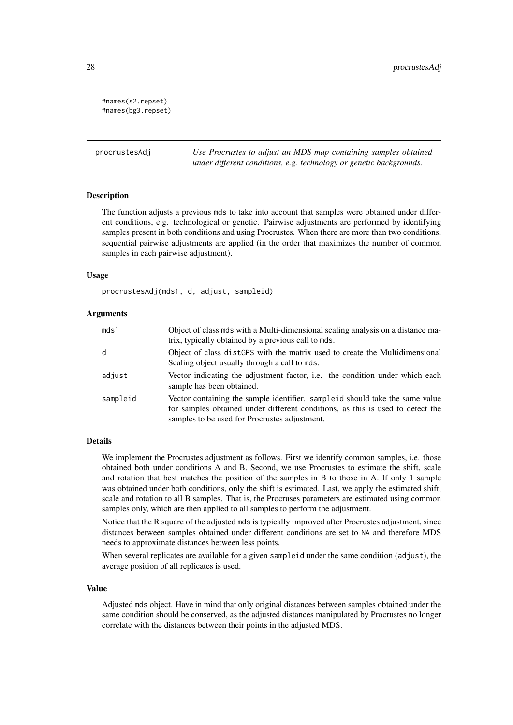```
#names(s2.repset)
#names(bg3.repset)
```
<span id="page-27-1"></span>procrustesAdj *Use Procrustes to adjust an MDS map containing samples obtained under different conditions, e.g. technology or genetic backgrounds.*

#### **Description**

The function adjusts a previous mds to take into account that samples were obtained under different conditions, e.g. technological or genetic. Pairwise adjustments are performed by identifying samples present in both conditions and using Procrustes. When there are more than two conditions, sequential pairwise adjustments are applied (in the order that maximizes the number of common samples in each pairwise adjustment).

# Usage

procrustesAdj(mds1, d, adjust, sampleid)

#### Arguments

| mds1     | Object of class mds with a Multi-dimensional scaling analysis on a distance ma-<br>trix, typically obtained by a previous call to mds.                                                                   |
|----------|----------------------------------------------------------------------------------------------------------------------------------------------------------------------------------------------------------|
| d        | Object of class dist GPS with the matrix used to create the Multidimensional<br>Scaling object usually through a call to mds.                                                                            |
| adjust   | Vector indicating the adjustment factor, i.e. the condition under which each<br>sample has been obtained.                                                                                                |
| sampleid | Vector containing the sample identifier. sample identifier same value<br>for samples obtained under different conditions, as this is used to detect the<br>samples to be used for Procrustes adjustment. |

#### Details

We implement the Procrustes adjustment as follows. First we identify common samples, i.e. those obtained both under conditions A and B. Second, we use Procrustes to estimate the shift, scale and rotation that best matches the position of the samples in B to those in A. If only 1 sample was obtained under both conditions, only the shift is estimated. Last, we apply the estimated shift, scale and rotation to all B samples. That is, the Procruses parameters are estimated using common samples only, which are then applied to all samples to perform the adjustment.

Notice that the R square of the adjusted mds is typically improved after Procrustes adjustment, since distances between samples obtained under different conditions are set to NA and therefore MDS needs to approximate distances between less points.

When several replicates are available for a given sampleid under the same condition (adjust), the average position of all replicates is used.

# Value

Adjusted mds object. Have in mind that only original distances between samples obtained under the same condition should be conserved, as the adjusted distances manipulated by Procrustes no longer correlate with the distances between their points in the adjusted MDS.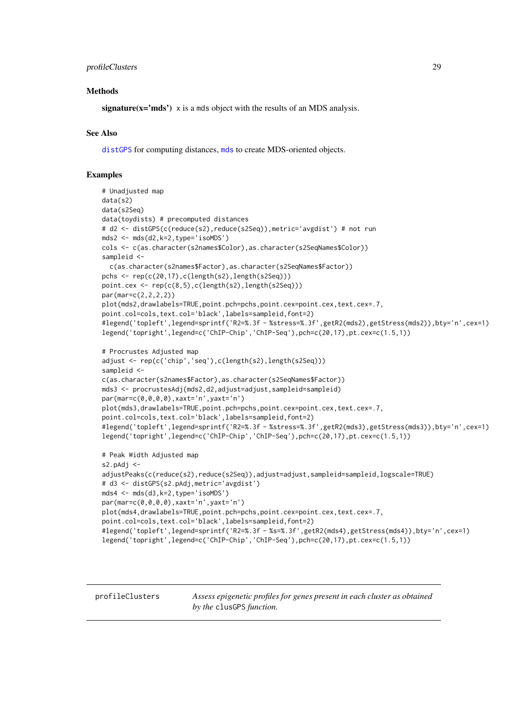#### <span id="page-28-0"></span>profileClusters 29

#### Methods

signature( $x = 'mds'$ ) x is a mds object with the results of an MDS analysis.

#### See Also

[distGPS](#page-14-1) for computing distances, [mds](#page-21-1) to create MDS-oriented objects.

#### Examples

```
# Unadjusted map
data(s2)
data(s2Seq)
data(toydists) # precomputed distances
# d2 <- distGPS(c(reduce(s2),reduce(s2Seq)),metric='avgdist') # not run
mds2 <- mds(d2,k=2,type='isoMDS')
cols <- c(as.character(s2names$Color),as.character(s2SeqNames$Color))
sampleid <-
  c(as.character(s2names$Factor),as.character(s2SeqNames$Factor))
pchs <- rep(c(20,17),c(length(s2),length(s2Seq)))
point.cex <- rep(c(8,5),c(length(s2),length(s2Seq)))
par(mar=c(2,2,2,2))
plot(mds2,drawlabels=TRUE,point.pch=pchs,point.cex=point.cex,text.cex=.7,
point.col=cols,text.col='black',labels=sampleid,font=2)
#legend('topleft',legend=sprintf('R2=%.3f - %stress=%.3f',getR2(mds2),getStress(mds2)),bty='n',cex=1)
legend('topright',legend=c('ChIP-Chip','ChIP-Seq'),pch=c(20,17),pt.cex=c(1.5,1))
# Procrustes Adjusted map
adjust <- rep(c('chip','seq'),c(length(s2),length(s2Seq)))
sampleid <-
c(as.character(s2names$Factor),as.character(s2SeqNames$Factor))
mds3 <- procrustesAdj(mds2,d2,adjust=adjust,sampleid=sampleid)
par(mar=c(0,0,0,0),xaxt='n',yaxt='n')
plot(mds3,drawlabels=TRUE,point.pch=pchs,point.cex=point.cex,text.cex=.7,
point.col=cols,text.col='black',labels=sampleid,font=2)
#legend('topleft',legend=sprintf('R2=%.3f - %stress=%.3f',getR2(mds3),getStress(mds3)),bty='n',cex=1)
legend('topright',legend=c('ChIP-Chip','ChIP-Seq'),pch=c(20,17),pt.cex=c(1.5,1))
# Peak Width Adjusted map
s2.pAdj <-
adjustPeaks(c(reduce(s2),reduce(s2Seq)),adjust=adjust,sampleid=sampleid,logscale=TRUE)
# d3 <- distGPS(s2.pAdj,metric='avgdist')
mds4 <- mds(d3,k=2,type='isoMDS')
par(mar=c(0,0,0,0),xaxt='n',yaxt='n')
plot(mds4,drawlabels=TRUE,point.pch=pchs,point.cex=point.cex,text.cex=.7,
point.col=cols,text.col='black',labels=sampleid,font=2)
#legend('topleft',legend=sprintf('R2=%.3f - %s=%.3f',getR2(mds4),getStress(mds4)),bty='n',cex=1)
```

```
legend('topright',legend=c('ChIP-Chip','ChIP-Seq'),pch=c(20,17),pt.cex=c(1.5,1))
```
profileClusters *Assess epigenetic profiles for genes present in each cluster as obtained by the* clusGPS *function.*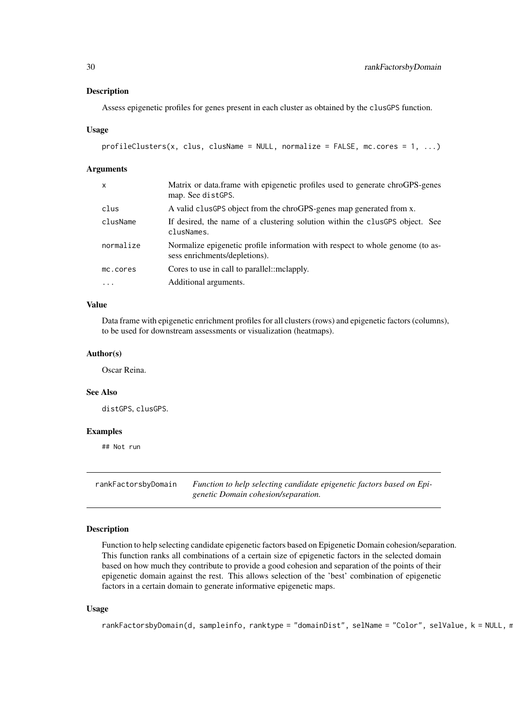<span id="page-29-0"></span>Assess epigenetic profiles for genes present in each cluster as obtained by the clusGPS function.

#### Usage

```
profileClusters(x, clus, clusName = NULL, normalize = FALSE, mc.core = 1, ...)
```
#### Arguments

| $\mathsf{x}$ | Matrix or data.frame with epigenetic profiles used to generate chroGPS-genes<br>map. See distGPS.              |
|--------------|----------------------------------------------------------------------------------------------------------------|
| clus         | A valid clusGPS object from the chroGPS-genes map generated from x.                                            |
| clusName     | If desired, the name of a clustering solution within the clusGPS object. See<br>clusNames.                     |
| normalize    | Normalize epigenetic profile information with respect to whole genome (to as-<br>sess enrichments/depletions). |
| mc.cores     | Cores to use in call to parallel:: mclapply.                                                                   |
| $\ddotsc$    | Additional arguments.                                                                                          |

# Value

Data frame with epigenetic enrichment profiles for all clusters (rows) and epigenetic factors (columns), to be used for downstream assessments or visualization (heatmaps).

# Author(s)

Oscar Reina.

#### See Also

distGPS, clusGPS.

# Examples

## Not run

<span id="page-29-1"></span>rankFactorsbyDomain *Function to help selecting candidate epigenetic factors based on Epigenetic Domain cohesion/separation.*

#### Description

Function to help selecting candidate epigenetic factors based on Epigenetic Domain cohesion/separation. This function ranks all combinations of a certain size of epigenetic factors in the selected domain based on how much they contribute to provide a good cohesion and separation of the points of their epigenetic domain against the rest. This allows selection of the 'best' combination of epigenetic factors in a certain domain to generate informative epigenetic maps.

# Usage

```
rankFactorsbyDomain(d, sampleinfo, ranktype = "domainDist", selName = "Color", selValue, k = NULL, n
```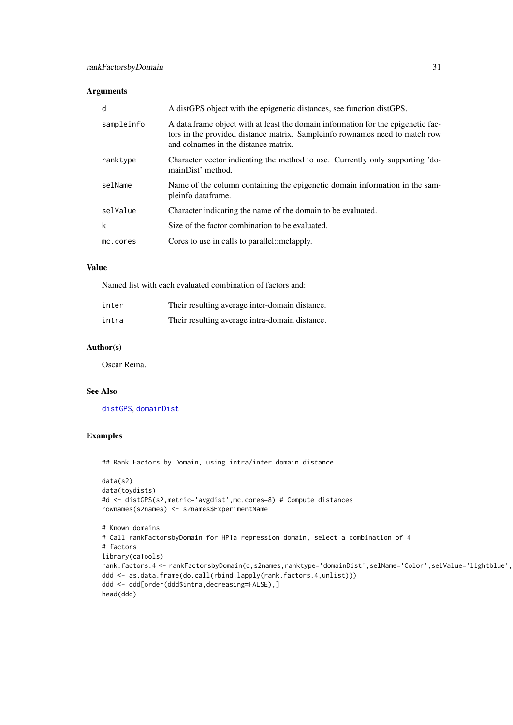# <span id="page-30-0"></span>Arguments

| d          | A distGPS object with the epigenetic distances, see function distGPS.                                                                                                                                   |
|------------|---------------------------------------------------------------------------------------------------------------------------------------------------------------------------------------------------------|
| sampleinfo | A data frame object with at least the domain information for the epigenetic fac-<br>tors in the provided distance matrix. Sampleinfo rownames need to match row<br>and colnames in the distance matrix. |
| ranktype   | Character vector indicating the method to use. Currently only supporting 'do-<br>mainDist' method.                                                                                                      |
| selName    | Name of the column containing the epigenetic domain information in the sam-<br>pleinfo dataframe.                                                                                                       |
| selValue   | Character indicating the name of the domain to be evaluated.                                                                                                                                            |
| k          | Size of the factor combination to be evaluated.                                                                                                                                                         |
| mc.cores   | Cores to use in calls to parallel:: mclapply.                                                                                                                                                           |
|            |                                                                                                                                                                                                         |

# Value

Named list with each evaluated combination of factors and:

| inter | Their resulting average inter-domain distance. |
|-------|------------------------------------------------|
| intra | Their resulting average intra-domain distance. |

# Author(s)

Oscar Reina.

# See Also

[distGPS](#page-14-1), [domainDist](#page-17-1)

# Examples

## Rank Factors by Domain, using intra/inter domain distance

```
data(s2)
data(toydists)
#d <- distGPS(s2,metric='avgdist',mc.cores=8) # Compute distances
rownames(s2names) <- s2names$ExperimentName
# Known domains
# Call rankFactorsbyDomain for HP1a repression domain, select a combination of 4
# factors
library(caTools)
rank.factors.4 <- rankFactorsbyDomain(d,s2names,ranktype='domainDist',selName='Color',selValue='lightblue',
ddd <- as.data.frame(do.call(rbind,lapply(rank.factors.4,unlist)))
ddd <- ddd[order(ddd$intra,decreasing=FALSE),]
head(ddd)
```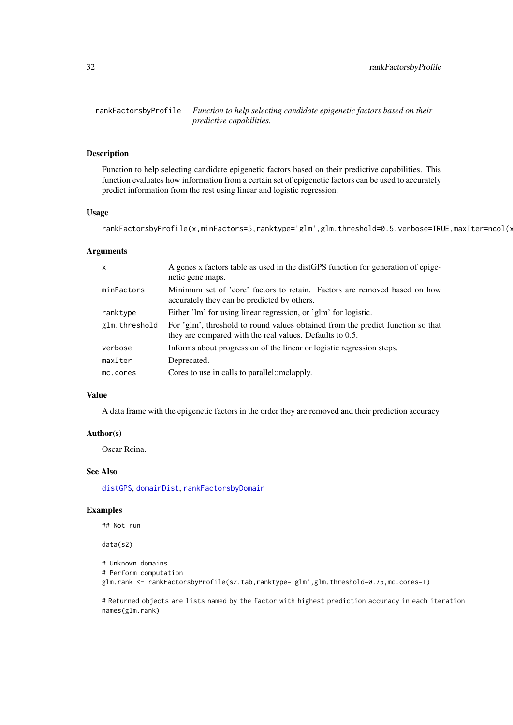<span id="page-31-0"></span>rankFactorsbyProfile *Function to help selecting candidate epigenetic factors based on their predictive capabilities.*

# Description

Function to help selecting candidate epigenetic factors based on their predictive capabilities. This function evaluates how information from a certain set of epigenetic factors can be used to accurately predict information from the rest using linear and logistic regression.

# Usage

rankFactorsbyProfile(x,minFactors=5,ranktype='glm',glm.threshold=0.5,verbose=TRUE,maxIter=ncol(x

# Arguments

| X             | A genes x factors table as used in the distGPS function for generation of epige-<br>netic gene maps.                                        |
|---------------|---------------------------------------------------------------------------------------------------------------------------------------------|
| minFactors    | Minimum set of 'core' factors to retain. Factors are removed based on how<br>accurately they can be predicted by others.                    |
| ranktype      | Either 'lm' for using linear regression, or 'glm' for logistic.                                                                             |
| glm.threshold | For 'glm', threshold to round values obtained from the predict function so that<br>they are compared with the real values. Defaults to 0.5. |
| verbose       | Informs about progression of the linear or logistic regression steps.                                                                       |
| maxIter       | Deprecated.                                                                                                                                 |
| mc.cores      | Cores to use in calls to parallel::mclapply.                                                                                                |

# Value

A data frame with the epigenetic factors in the order they are removed and their prediction accuracy.

# Author(s)

Oscar Reina.

# See Also

[distGPS](#page-14-1), [domainDist](#page-17-1), [rankFactorsbyDomain](#page-29-1)

#### Examples

## Not run

data(s2)

```
# Unknown domains
# Perform computation
glm.rank <- rankFactorsbyProfile(s2.tab,ranktype='glm',glm.threshold=0.75,mc.cores=1)
```
# Returned objects are lists named by the factor with highest prediction accuracy in each iteration names(glm.rank)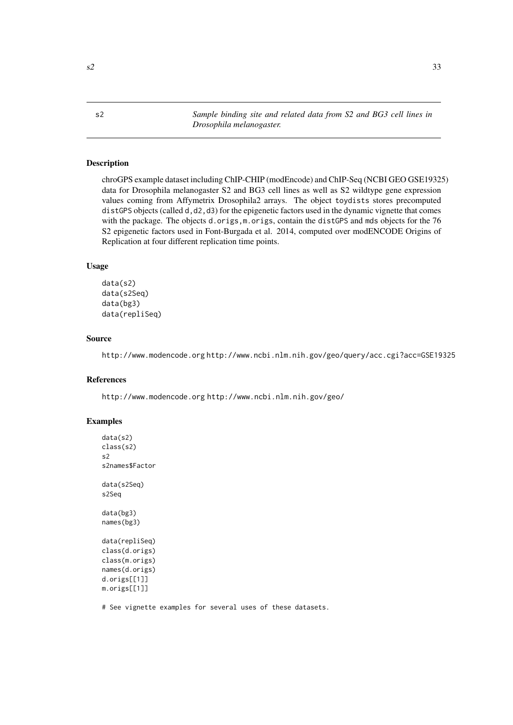<span id="page-32-0"></span>

s2 *Sample binding site and related data from S2 and BG3 cell lines in Drosophila melanogaster.*

#### Description

chroGPS example dataset including ChIP-CHIP (modEncode) and ChIP-Seq (NCBI GEO GSE19325) data for Drosophila melanogaster S2 and BG3 cell lines as well as S2 wildtype gene expression values coming from Affymetrix Drosophila2 arrays. The object toydists stores precomputed distGPS objects (called d,d2,d3) for the epigenetic factors used in the dynamic vignette that comes with the package. The objects d.origs,m.origs, contain the distGPS and mds objects for the 76 S2 epigenetic factors used in Font-Burgada et al. 2014, computed over modENCODE Origins of Replication at four different replication time points.

#### Usage

```
data(s2)
data(s2Seq)
data(bg3)
data(repliSeq)
```
# Source

http://www.modencode.org http://www.ncbi.nlm.nih.gov/geo/query/acc.cgi?acc=GSE19325

#### References

http://www.modencode.org http://www.ncbi.nlm.nih.gov/geo/

# Examples

```
data(s2)
class(s2)
s2
s2names$Factor
data(s2Seq)
s2Seq
data(bg3)
names(bg3)
data(repliSeq)
class(d.origs)
class(m.origs)
names(d.origs)
d.origs[[1]]
m.origs[[1]]
```
# See vignette examples for several uses of these datasets.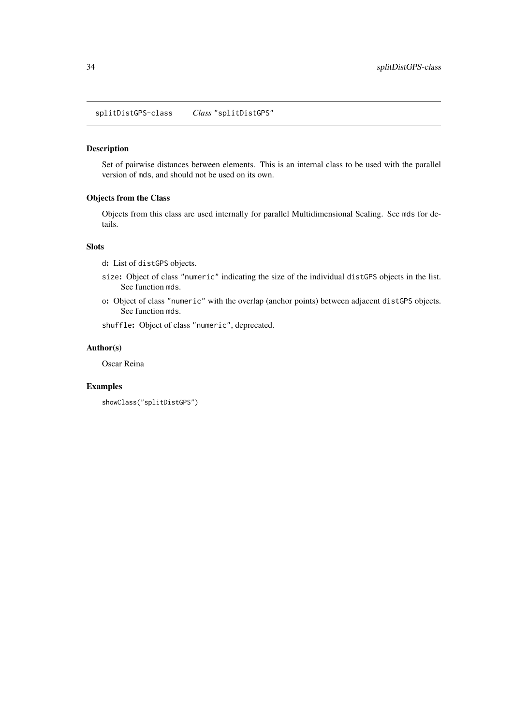<span id="page-33-0"></span>splitDistGPS-class *Class* "splitDistGPS"

# Description

Set of pairwise distances between elements. This is an internal class to be used with the parallel version of mds, and should not be used on its own.

# Objects from the Class

Objects from this class are used internally for parallel Multidimensional Scaling. See mds for details.

# Slots

d: List of distGPS objects.

- size: Object of class "numeric" indicating the size of the individual distGPS objects in the list. See function mds.
- o: Object of class "numeric" with the overlap (anchor points) between adjacent distGPS objects. See function mds.

shuffle: Object of class "numeric", deprecated.

# Author(s)

Oscar Reina

# Examples

showClass("splitDistGPS")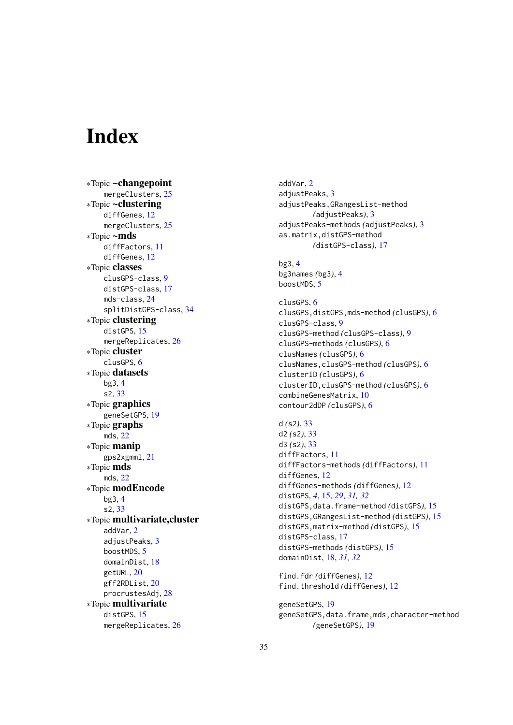# <span id="page-34-0"></span>Index

∗Topic ~changepoint mergeClusters, [25](#page-24-0) ∗Topic ~clustering diffGenes, [12](#page-11-0) mergeClusters, [25](#page-24-0) ∗Topic ~mds diffFactors, [11](#page-10-0) diffGenes, [12](#page-11-0) ∗Topic classes clusGPS-class, [9](#page-8-0) distGPS-class, [17](#page-16-0) mds-class, [24](#page-23-0) splitDistGPS-class, [34](#page-33-0) ∗Topic clustering distGPS, [15](#page-14-0) mergeReplicates, [26](#page-25-0) ∗Topic cluster clusGPS, [6](#page-5-0) ∗Topic datasets bg3, [4](#page-3-0) s2, [33](#page-32-0) ∗Topic graphics geneSetGPS, [19](#page-18-0) ∗Topic graphs mds, [22](#page-21-0) ∗Topic manip gps2xgmml, [21](#page-20-0) ∗Topic mds mds, [22](#page-21-0) ∗Topic modEncode bg3, [4](#page-3-0) s2, [33](#page-32-0) ∗Topic multivariate,cluster addVar, [2](#page-1-0) adjustPeaks, [3](#page-2-0) boostMDS, [5](#page-4-0) domainDist, [18](#page-17-0) getURL, [20](#page-19-0) gff2RDList, [20](#page-19-0) procrustesAdj, [28](#page-27-0) ∗Topic multivariate distGPS, [15](#page-14-0) mergeReplicates, [26](#page-25-0)

addVar, [2](#page-1-0) adjustPeaks, [3](#page-2-0) adjustPeaks,GRangesList-method *(*adjustPeaks*)*, [3](#page-2-0) adjustPeaks-methods *(*adjustPeaks*)*, [3](#page-2-0) as.matrix,distGPS-method *(*distGPS-class*)*, [17](#page-16-0) bg3, [4](#page-3-0) bg3names *(*bg3*)*, [4](#page-3-0) boostMDS, [5](#page-4-0) clusGPS, [6](#page-5-0) clusGPS,distGPS,mds-method *(*clusGPS*)*, [6](#page-5-0) clusGPS-class, [9](#page-8-0) clusGPS-method *(*clusGPS-class*)*, [9](#page-8-0) clusGPS-methods *(*clusGPS*)*, [6](#page-5-0) clusNames *(*clusGPS*)*, [6](#page-5-0) clusNames,clusGPS-method *(*clusGPS*)*, [6](#page-5-0) clusterID *(*clusGPS*)*, [6](#page-5-0) clusterID,clusGPS-method *(*clusGPS*)*, [6](#page-5-0) combineGenesMatrix, [10](#page-9-0) contour2dDP *(*clusGPS*)*, [6](#page-5-0) d *(*s2*)*, [33](#page-32-0) d2 *(*s2*)*, [33](#page-32-0) d3 *(*s2*)*, [33](#page-32-0) diffFactors, [11](#page-10-0) diffFactors-methods *(*diffFactors*)*, [11](#page-10-0) diffGenes, [12](#page-11-0) diffGenes-methods *(*diffGenes*)*, [12](#page-11-0) distGPS, *[4](#page-3-0)*, [15,](#page-14-0) *[29](#page-28-0)*, *[31,](#page-30-0) [32](#page-31-0)* distGPS,data.frame-method *(*distGPS*)*, [15](#page-14-0) distGPS,GRangesList-method *(*distGPS*)*, [15](#page-14-0) distGPS,matrix-method *(*distGPS*)*, [15](#page-14-0) distGPS-class, [17](#page-16-0) distGPS-methods *(*distGPS*)*, [15](#page-14-0)

find.fdr *(*diffGenes*)*, [12](#page-11-0) find.threshold *(*diffGenes*)*, [12](#page-11-0)

domainDist, [18,](#page-17-0) *[31,](#page-30-0) [32](#page-31-0)*

geneSetGPS, [19](#page-18-0) geneSetGPS,data.frame,mds,character-method *(*geneSetGPS*)*, [19](#page-18-0)